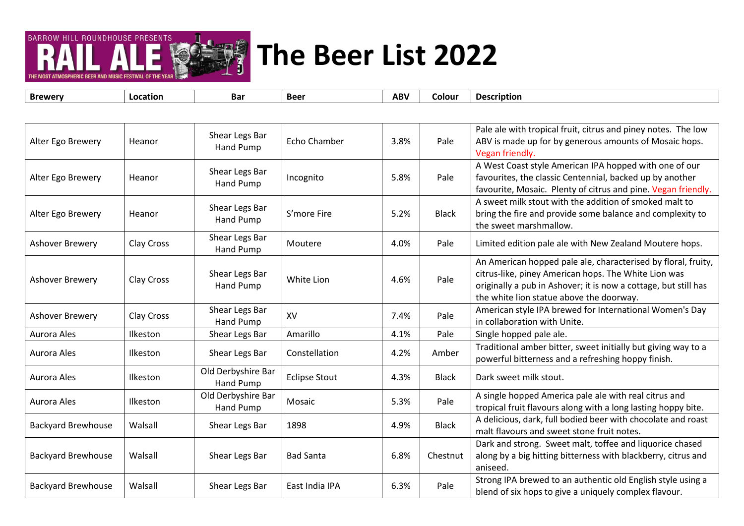

| <b>Brewery</b>            | Location   | Bar                             | <b>Beer</b>          | <b>ABV</b> | Colour       | <b>Description</b>                                                                                                                                                                                                                   |
|---------------------------|------------|---------------------------------|----------------------|------------|--------------|--------------------------------------------------------------------------------------------------------------------------------------------------------------------------------------------------------------------------------------|
|                           |            |                                 |                      |            |              |                                                                                                                                                                                                                                      |
| Alter Ego Brewery         | Heanor     | Shear Legs Bar<br>Hand Pump     | Echo Chamber         | 3.8%       | Pale         | Pale ale with tropical fruit, citrus and piney notes. The low<br>ABV is made up for by generous amounts of Mosaic hops.<br>Vegan friendly.                                                                                           |
| Alter Ego Brewery         | Heanor     | Shear Legs Bar<br>Hand Pump     | Incognito            | 5.8%       | Pale         | A West Coast style American IPA hopped with one of our<br>favourites, the classic Centennial, backed up by another<br>favourite, Mosaic. Plenty of citrus and pine. Vegan friendly.                                                  |
| Alter Ego Brewery         | Heanor     | Shear Legs Bar<br>Hand Pump     | S'more Fire          | 5.2%       | <b>Black</b> | A sweet milk stout with the addition of smoked malt to<br>bring the fire and provide some balance and complexity to<br>the sweet marshmallow.                                                                                        |
| Ashover Brewery           | Clay Cross | Shear Legs Bar<br>Hand Pump     | Moutere              | 4.0%       | Pale         | Limited edition pale ale with New Zealand Moutere hops.                                                                                                                                                                              |
| Ashover Brewery           | Clay Cross | Shear Legs Bar<br>Hand Pump     | White Lion           | 4.6%       | Pale         | An American hopped pale ale, characterised by floral, fruity,<br>citrus-like, piney American hops. The White Lion was<br>originally a pub in Ashover; it is now a cottage, but still has<br>the white lion statue above the doorway. |
| Ashover Brewery           | Clay Cross | Shear Legs Bar<br>Hand Pump     | XV                   | 7.4%       | Pale         | American style IPA brewed for International Women's Day<br>in collaboration with Unite.                                                                                                                                              |
| Aurora Ales               | Ilkeston   | Shear Legs Bar                  | Amarillo             | 4.1%       | Pale         | Single hopped pale ale.                                                                                                                                                                                                              |
| Aurora Ales               | Ilkeston   | Shear Legs Bar                  | Constellation        | 4.2%       | Amber        | Traditional amber bitter, sweet initially but giving way to a<br>powerful bitterness and a refreshing hoppy finish.                                                                                                                  |
| Aurora Ales               | Ilkeston   | Old Derbyshire Bar<br>Hand Pump | <b>Eclipse Stout</b> | 4.3%       | <b>Black</b> | Dark sweet milk stout.                                                                                                                                                                                                               |
| Aurora Ales               | Ilkeston   | Old Derbyshire Bar<br>Hand Pump | Mosaic               | 5.3%       | Pale         | A single hopped America pale ale with real citrus and<br>tropical fruit flavours along with a long lasting hoppy bite.                                                                                                               |
| <b>Backyard Brewhouse</b> | Walsall    | Shear Legs Bar                  | 1898                 | 4.9%       | <b>Black</b> | A delicious, dark, full bodied beer with chocolate and roast<br>malt flavours and sweet stone fruit notes.                                                                                                                           |
| <b>Backyard Brewhouse</b> | Walsall    | Shear Legs Bar                  | <b>Bad Santa</b>     | 6.8%       | Chestnut     | Dark and strong. Sweet malt, toffee and liquorice chased<br>along by a big hitting bitterness with blackberry, citrus and<br>aniseed.                                                                                                |
| <b>Backyard Brewhouse</b> | Walsall    | Shear Legs Bar                  | East India IPA       | 6.3%       | Pale         | Strong IPA brewed to an authentic old English style using a<br>blend of six hops to give a uniquely complex flavour.                                                                                                                 |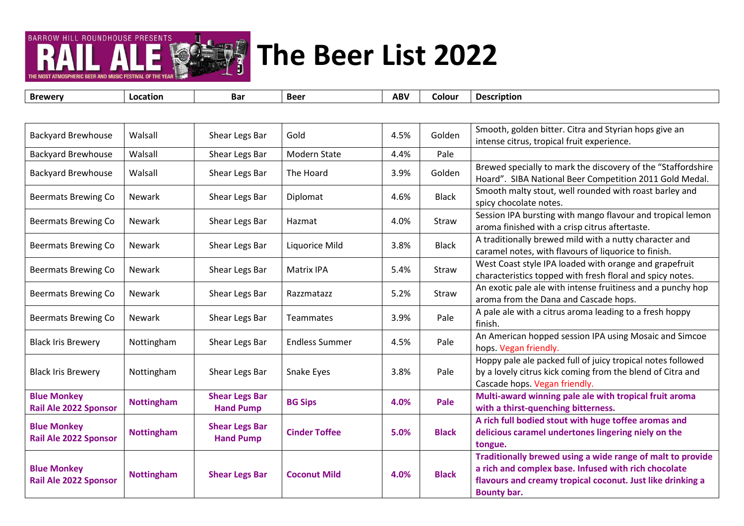

THE MOST ATMOSPHERIC REER AND MUSIC FESTIVAL OF TH

| <b>Backyard Brewhouse</b>                          | Walsall           | Shear Legs Bar                            | Gold                  | 4.5% | Golden       | Smooth, golden bitter. Citra and Styrian hops give an<br>intense citrus, tropical fruit experience.                                                                                             |
|----------------------------------------------------|-------------------|-------------------------------------------|-----------------------|------|--------------|-------------------------------------------------------------------------------------------------------------------------------------------------------------------------------------------------|
| <b>Backyard Brewhouse</b>                          | Walsall           | Shear Legs Bar                            | Modern State          | 4.4% | Pale         |                                                                                                                                                                                                 |
| <b>Backyard Brewhouse</b>                          | Walsall           | Shear Legs Bar                            | The Hoard             | 3.9% | Golden       | Brewed specially to mark the discovery of the "Staffordshire<br>Hoard". SIBA National Beer Competition 2011 Gold Medal.                                                                         |
| <b>Beermats Brewing Co</b>                         | <b>Newark</b>     | Shear Legs Bar                            | Diplomat              | 4.6% | <b>Black</b> | Smooth malty stout, well rounded with roast barley and<br>spicy chocolate notes.                                                                                                                |
| <b>Beermats Brewing Co</b>                         | <b>Newark</b>     | Shear Legs Bar                            | Hazmat                | 4.0% | Straw        | Session IPA bursting with mango flavour and tropical lemon<br>aroma finished with a crisp citrus aftertaste.                                                                                    |
| <b>Beermats Brewing Co</b>                         | <b>Newark</b>     | Shear Legs Bar                            | Liquorice Mild        | 3.8% | <b>Black</b> | A traditionally brewed mild with a nutty character and<br>caramel notes, with flavours of liquorice to finish.                                                                                  |
| <b>Beermats Brewing Co</b>                         | <b>Newark</b>     | Shear Legs Bar                            | <b>Matrix IPA</b>     | 5.4% | Straw        | West Coast style IPA loaded with orange and grapefruit<br>characteristics topped with fresh floral and spicy notes.                                                                             |
| <b>Beermats Brewing Co</b>                         | <b>Newark</b>     | Shear Legs Bar                            | Razzmatazz            | 5.2% | Straw        | An exotic pale ale with intense fruitiness and a punchy hop<br>aroma from the Dana and Cascade hops.                                                                                            |
| <b>Beermats Brewing Co</b>                         | <b>Newark</b>     | Shear Legs Bar                            | Teammates             | 3.9% | Pale         | A pale ale with a citrus aroma leading to a fresh hoppy<br>finish.                                                                                                                              |
| <b>Black Iris Brewery</b>                          | Nottingham        | Shear Legs Bar                            | <b>Endless Summer</b> | 4.5% | Pale         | An American hopped session IPA using Mosaic and Simcoe<br>hops. Vegan friendly.                                                                                                                 |
| <b>Black Iris Brewery</b>                          | Nottingham        | Shear Legs Bar                            | Snake Eyes            | 3.8% | Pale         | Hoppy pale ale packed full of juicy tropical notes followed<br>by a lovely citrus kick coming from the blend of Citra and<br>Cascade hops. Vegan friendly.                                      |
| <b>Blue Monkey</b><br><b>Rail Ale 2022 Sponsor</b> | <b>Nottingham</b> | <b>Shear Legs Bar</b><br><b>Hand Pump</b> | <b>BG Sips</b>        | 4.0% | Pale         | Multi-award winning pale ale with tropical fruit aroma<br>with a thirst-quenching bitterness.                                                                                                   |
| <b>Blue Monkey</b><br>Rail Ale 2022 Sponsor        | <b>Nottingham</b> | <b>Shear Legs Bar</b><br><b>Hand Pump</b> | <b>Cinder Toffee</b>  | 5.0% | <b>Black</b> | A rich full bodied stout with huge toffee aromas and<br>delicious caramel undertones lingering niely on the<br>tongue.                                                                          |
| <b>Blue Monkey</b><br><b>Rail Ale 2022 Sponsor</b> | <b>Nottingham</b> | <b>Shear Legs Bar</b>                     | <b>Coconut Mild</b>   | 4.0% | <b>Black</b> | Traditionally brewed using a wide range of malt to provide<br>a rich and complex base. Infused with rich chocolate<br>flavours and creamy tropical coconut. Just like drinking a<br>Bounty bar. |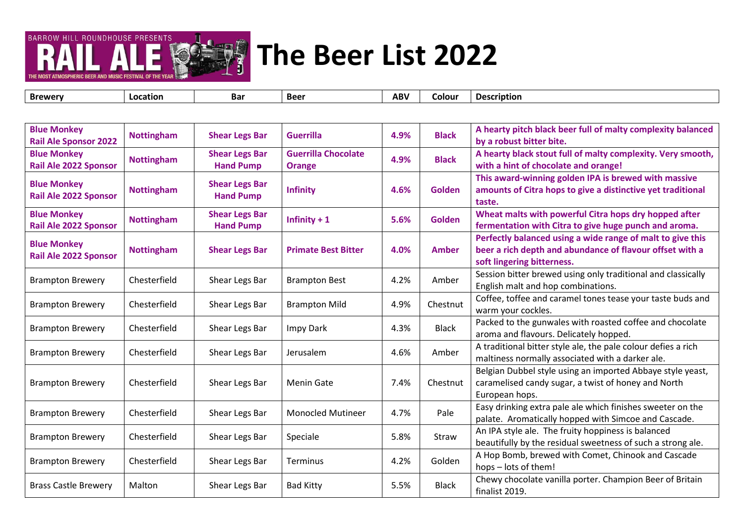

| <b>Blue Monkey</b><br><b>Rail Ale Sponsor 2022</b> | <b>Nottingham</b> | <b>Shear Legs Bar</b>                     | <b>Guerrilla</b>                            | 4.9% | <b>Black</b>  | A hearty pitch black beer full of malty complexity balanced<br>by a robust bitter bite.                                                              |
|----------------------------------------------------|-------------------|-------------------------------------------|---------------------------------------------|------|---------------|------------------------------------------------------------------------------------------------------------------------------------------------------|
| <b>Blue Monkey</b><br><b>Rail Ale 2022 Sponsor</b> | <b>Nottingham</b> | <b>Shear Legs Bar</b><br><b>Hand Pump</b> | <b>Guerrilla Chocolate</b><br><b>Orange</b> | 4.9% | <b>Black</b>  | A hearty black stout full of malty complexity. Very smooth,<br>with a hint of chocolate and orange!                                                  |
| <b>Blue Monkey</b><br><b>Rail Ale 2022 Sponsor</b> | <b>Nottingham</b> | <b>Shear Legs Bar</b><br><b>Hand Pump</b> | <b>Infinity</b>                             | 4.6% | <b>Golden</b> | This award-winning golden IPA is brewed with massive<br>amounts of Citra hops to give a distinctive yet traditional<br>taste.                        |
| <b>Blue Monkey</b><br><b>Rail Ale 2022 Sponsor</b> | <b>Nottingham</b> | <b>Shear Legs Bar</b><br><b>Hand Pump</b> | Infinity $+1$                               | 5.6% | <b>Golden</b> | Wheat malts with powerful Citra hops dry hopped after<br>fermentation with Citra to give huge punch and aroma.                                       |
| <b>Blue Monkey</b><br><b>Rail Ale 2022 Sponsor</b> | <b>Nottingham</b> | <b>Shear Legs Bar</b>                     | <b>Primate Best Bitter</b>                  | 4.0% | <b>Amber</b>  | Perfectly balanced using a wide range of malt to give this<br>beer a rich depth and abundance of flavour offset with a<br>soft lingering bitterness. |
| <b>Brampton Brewery</b>                            | Chesterfield      | Shear Legs Bar                            | <b>Brampton Best</b>                        | 4.2% | Amber         | Session bitter brewed using only traditional and classically<br>English malt and hop combinations.                                                   |
| <b>Brampton Brewery</b>                            | Chesterfield      | Shear Legs Bar                            | <b>Brampton Mild</b>                        | 4.9% | Chestnut      | Coffee, toffee and caramel tones tease your taste buds and<br>warm your cockles.                                                                     |
| <b>Brampton Brewery</b>                            | Chesterfield      | Shear Legs Bar                            | Impy Dark                                   | 4.3% | <b>Black</b>  | Packed to the gunwales with roasted coffee and chocolate<br>aroma and flavours. Delicately hopped.                                                   |
| <b>Brampton Brewery</b>                            | Chesterfield      | Shear Legs Bar                            | Jerusalem                                   | 4.6% | Amber         | A traditional bitter style ale, the pale colour defies a rich<br>maltiness normally associated with a darker ale.                                    |
| <b>Brampton Brewery</b>                            | Chesterfield      | Shear Legs Bar                            | <b>Menin Gate</b>                           | 7.4% | Chestnut      | Belgian Dubbel style using an imported Abbaye style yeast,<br>caramelised candy sugar, a twist of honey and North<br>European hops.                  |
| <b>Brampton Brewery</b>                            | Chesterfield      | Shear Legs Bar                            | <b>Monocled Mutineer</b>                    | 4.7% | Pale          | Easy drinking extra pale ale which finishes sweeter on the<br>palate. Aromatically hopped with Simcoe and Cascade.                                   |
| <b>Brampton Brewery</b>                            | Chesterfield      | Shear Legs Bar                            | Speciale                                    | 5.8% | Straw         | An IPA style ale. The fruity hoppiness is balanced<br>beautifully by the residual sweetness of such a strong ale.                                    |
| <b>Brampton Brewery</b>                            | Chesterfield      | Shear Legs Bar                            | Terminus                                    | 4.2% | Golden        | A Hop Bomb, brewed with Comet, Chinook and Cascade<br>hops - lots of them!                                                                           |
| <b>Brass Castle Brewery</b>                        | Malton            | Shear Legs Bar                            | <b>Bad Kitty</b>                            | 5.5% | <b>Black</b>  | Chewy chocolate vanilla porter. Champion Beer of Britain<br>finalist 2019.                                                                           |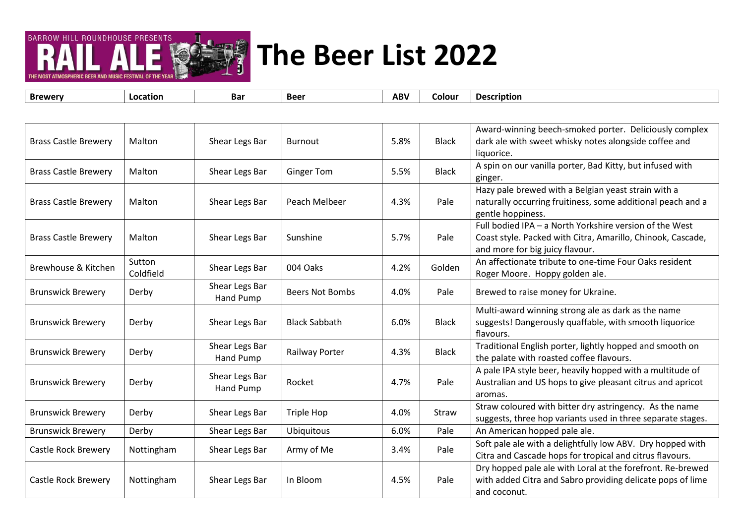

| <b>Brewery</b>              | Location            | <b>Bar</b>                  | <b>Beer</b>            | <b>ABV</b> | Colour       | <b>Description</b>                                                                                                                                        |
|-----------------------------|---------------------|-----------------------------|------------------------|------------|--------------|-----------------------------------------------------------------------------------------------------------------------------------------------------------|
|                             |                     |                             |                        |            |              |                                                                                                                                                           |
| <b>Brass Castle Brewery</b> | Malton              | Shear Legs Bar              | <b>Burnout</b>         | 5.8%       | <b>Black</b> | Award-winning beech-smoked porter. Deliciously complex<br>dark ale with sweet whisky notes alongside coffee and<br>liquorice.                             |
| <b>Brass Castle Brewery</b> | Malton              | Shear Legs Bar              | <b>Ginger Tom</b>      | 5.5%       | <b>Black</b> | A spin on our vanilla porter, Bad Kitty, but infused with<br>ginger.                                                                                      |
| <b>Brass Castle Brewery</b> | Malton              | Shear Legs Bar              | Peach Melbeer          | 4.3%       | Pale         | Hazy pale brewed with a Belgian yeast strain with a<br>naturally occurring fruitiness, some additional peach and a<br>gentle hoppiness.                   |
| <b>Brass Castle Brewery</b> | Malton              | Shear Legs Bar              | Sunshine               | 5.7%       | Pale         | Full bodied IPA - a North Yorkshire version of the West<br>Coast style. Packed with Citra, Amarillo, Chinook, Cascade,<br>and more for big juicy flavour. |
| Brewhouse & Kitchen         | Sutton<br>Coldfield | Shear Legs Bar              | 004 Oaks               | 4.2%       | Golden       | An affectionate tribute to one-time Four Oaks resident<br>Roger Moore. Hoppy golden ale.                                                                  |
| <b>Brunswick Brewery</b>    | Derby               | Shear Legs Bar<br>Hand Pump | <b>Beers Not Bombs</b> | 4.0%       | Pale         | Brewed to raise money for Ukraine.                                                                                                                        |
| <b>Brunswick Brewery</b>    | Derby               | Shear Legs Bar              | <b>Black Sabbath</b>   | 6.0%       | <b>Black</b> | Multi-award winning strong ale as dark as the name<br>suggests! Dangerously quaffable, with smooth liquorice<br>flavours.                                 |
| <b>Brunswick Brewery</b>    | Derby               | Shear Legs Bar<br>Hand Pump | Railway Porter         | 4.3%       | <b>Black</b> | Traditional English porter, lightly hopped and smooth on<br>the palate with roasted coffee flavours.                                                      |
| <b>Brunswick Brewery</b>    | Derby               | Shear Legs Bar<br>Hand Pump | Rocket                 | 4.7%       | Pale         | A pale IPA style beer, heavily hopped with a multitude of<br>Australian and US hops to give pleasant citrus and apricot<br>aromas.                        |
| <b>Brunswick Brewery</b>    | Derby               | Shear Legs Bar              | <b>Triple Hop</b>      | 4.0%       | Straw        | Straw coloured with bitter dry astringency. As the name<br>suggests, three hop variants used in three separate stages.                                    |
| <b>Brunswick Brewery</b>    | Derby               | Shear Legs Bar              | Ubiquitous             | 6.0%       | Pale         | An American hopped pale ale.                                                                                                                              |
| Castle Rock Brewery         | Nottingham          | Shear Legs Bar              | Army of Me             | 3.4%       | Pale         | Soft pale ale with a delightfully low ABV. Dry hopped with<br>Citra and Cascade hops for tropical and citrus flavours.                                    |
| Castle Rock Brewery         | Nottingham          | Shear Legs Bar              | In Bloom               | 4.5%       | Pale         | Dry hopped pale ale with Loral at the forefront. Re-brewed<br>with added Citra and Sabro providing delicate pops of lime<br>and coconut.                  |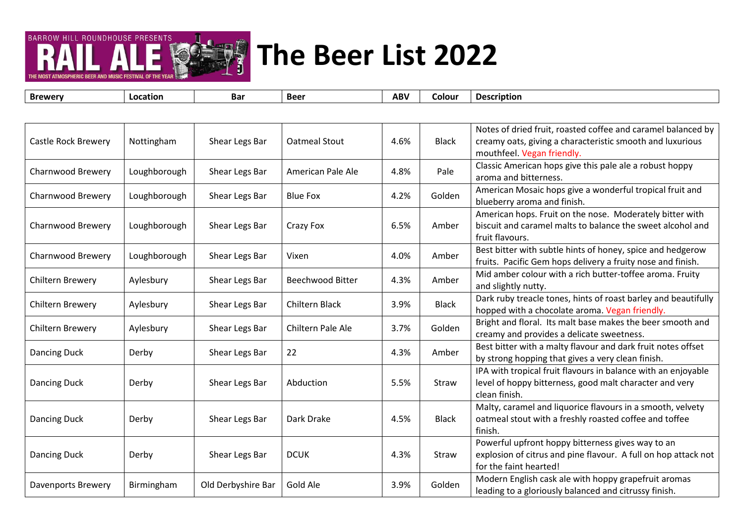

| <b>Brewery</b>             | Location     | <b>Bar</b>         | <b>Beer</b>             | <b>ABV</b> | Colour       | <b>Description</b>                                                                                                                                      |
|----------------------------|--------------|--------------------|-------------------------|------------|--------------|---------------------------------------------------------------------------------------------------------------------------------------------------------|
|                            |              |                    |                         |            |              |                                                                                                                                                         |
| <b>Castle Rock Brewery</b> | Nottingham   | Shear Legs Bar     | <b>Oatmeal Stout</b>    | 4.6%       | <b>Black</b> | Notes of dried fruit, roasted coffee and caramel balanced by<br>creamy oats, giving a characteristic smooth and luxurious<br>mouthfeel. Vegan friendly. |
| Charnwood Brewery          | Loughborough | Shear Legs Bar     | American Pale Ale       | 4.8%       | Pale         | Classic American hops give this pale ale a robust hoppy<br>aroma and bitterness.                                                                        |
| Charnwood Brewery          | Loughborough | Shear Legs Bar     | <b>Blue Fox</b>         | 4.2%       | Golden       | American Mosaic hops give a wonderful tropical fruit and<br>blueberry aroma and finish.                                                                 |
| Charnwood Brewery          | Loughborough | Shear Legs Bar     | Crazy Fox               | 6.5%       | Amber        | American hops. Fruit on the nose. Moderately bitter with<br>biscuit and caramel malts to balance the sweet alcohol and<br>fruit flavours.               |
| Charnwood Brewery          | Loughborough | Shear Legs Bar     | Vixen                   | 4.0%       | Amber        | Best bitter with subtle hints of honey, spice and hedgerow<br>fruits. Pacific Gem hops delivery a fruity nose and finish.                               |
| Chiltern Brewery           | Aylesbury    | Shear Legs Bar     | <b>Beechwood Bitter</b> | 4.3%       | Amber        | Mid amber colour with a rich butter-toffee aroma. Fruity<br>and slightly nutty.                                                                         |
| Chiltern Brewery           | Aylesbury    | Shear Legs Bar     | Chiltern Black          | 3.9%       | <b>Black</b> | Dark ruby treacle tones, hints of roast barley and beautifully<br>hopped with a chocolate aroma. Vegan friendly.                                        |
| Chiltern Brewery           | Aylesbury    | Shear Legs Bar     | Chiltern Pale Ale       | 3.7%       | Golden       | Bright and floral. Its malt base makes the beer smooth and<br>creamy and provides a delicate sweetness.                                                 |
| Dancing Duck               | Derby        | Shear Legs Bar     | 22                      | 4.3%       | Amber        | Best bitter with a malty flavour and dark fruit notes offset<br>by strong hopping that gives a very clean finish.                                       |
| Dancing Duck               | Derby        | Shear Legs Bar     | Abduction               | 5.5%       | Straw        | IPA with tropical fruit flavours in balance with an enjoyable<br>level of hoppy bitterness, good malt character and very<br>clean finish.               |
| Dancing Duck               | Derby        | Shear Legs Bar     | Dark Drake              | 4.5%       | <b>Black</b> | Malty, caramel and liquorice flavours in a smooth, velvety<br>oatmeal stout with a freshly roasted coffee and toffee<br>finish.                         |
| Dancing Duck               | Derby        | Shear Legs Bar     | <b>DCUK</b>             | 4.3%       | Straw        | Powerful upfront hoppy bitterness gives way to an<br>explosion of citrus and pine flavour. A full on hop attack not<br>for the faint hearted!           |
| Davenports Brewery         | Birmingham   | Old Derbyshire Bar | Gold Ale                | 3.9%       | Golden       | Modern English cask ale with hoppy grapefruit aromas<br>leading to a gloriously balanced and citrussy finish.                                           |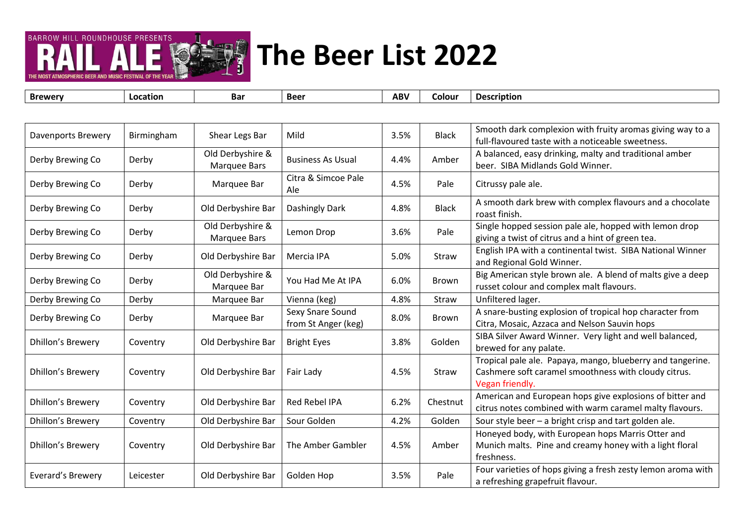

| <b>Brewery</b>           | Location                                            | <b>Bar</b>         | <b>Beer</b>                                       | <b>ABV</b> | Colour       | <b>Description</b>                                                        |
|--------------------------|-----------------------------------------------------|--------------------|---------------------------------------------------|------------|--------------|---------------------------------------------------------------------------|
|                          |                                                     |                    |                                                   |            |              |                                                                           |
| Davenports Brewery       | Birmingham                                          | Shear Legs Bar     | Mild                                              | 3.5%       | <b>Black</b> | Smooth dark complexion with fruity aromas giving way to a                 |
|                          |                                                     |                    |                                                   |            |              | full-flavoured taste with a noticeable sweetness.                         |
| Derby Brewing Co         | Derby                                               | Old Derbyshire &   | <b>Business As Usual</b>                          | 4.4%       | Amber        | A balanced, easy drinking, malty and traditional amber                    |
|                          |                                                     | Marquee Bars       |                                                   |            |              | beer. SIBA Midlands Gold Winner.                                          |
| Derby Brewing Co         | Derby                                               | Marquee Bar        | Citra & Simcoe Pale<br>Ale                        | 4.5%       | Pale         | Citrussy pale ale.                                                        |
| Derby Brewing Co         | Derby                                               | Old Derbyshire Bar | Dashingly Dark                                    | 4.8%       | <b>Black</b> | A smooth dark brew with complex flavours and a chocolate<br>roast finish. |
|                          |                                                     | Old Derbyshire &   |                                                   |            |              | Single hopped session pale ale, hopped with lemon drop                    |
| Derby Brewing Co         | Pale<br>Derby<br>Lemon Drop<br>3.6%<br>Marquee Bars |                    | giving a twist of citrus and a hint of green tea. |            |              |                                                                           |
| Derby Brewing Co         | Derby                                               | Old Derbyshire Bar | Mercia IPA                                        | 5.0%       | Straw        | English IPA with a continental twist. SIBA National Winner                |
|                          |                                                     |                    |                                                   |            |              | and Regional Gold Winner.                                                 |
| Derby Brewing Co         | Derby                                               | Old Derbyshire &   | You Had Me At IPA                                 | 6.0%       | <b>Brown</b> | Big American style brown ale. A blend of malts give a deep                |
|                          |                                                     | Marquee Bar        |                                                   |            |              | russet colour and complex malt flavours.                                  |
| Derby Brewing Co         | Derby                                               | Marquee Bar        | Vienna (keg)                                      | 4.8%       | Straw        | Unfiltered lager.                                                         |
| Derby Brewing Co         | Derby                                               | Marquee Bar        | Sexy Snare Sound                                  | 8.0%       | Brown        | A snare-busting explosion of tropical hop character from                  |
|                          |                                                     |                    | from St Anger (keg)                               |            |              | Citra, Mosaic, Azzaca and Nelson Sauvin hops                              |
| <b>Dhillon's Brewery</b> | Coventry                                            | Old Derbyshire Bar | <b>Bright Eyes</b>                                | 3.8%       | Golden       | SIBA Silver Award Winner. Very light and well balanced,                   |
|                          |                                                     |                    |                                                   |            |              | brewed for any palate.                                                    |
|                          |                                                     |                    |                                                   |            |              | Tropical pale ale. Papaya, mango, blueberry and tangerine.                |
| <b>Dhillon's Brewery</b> | Coventry                                            | Old Derbyshire Bar | Fair Lady                                         | 4.5%       | Straw        | Cashmere soft caramel smoothness with cloudy citrus.                      |
|                          |                                                     |                    |                                                   |            |              | Vegan friendly.                                                           |
| <b>Dhillon's Brewery</b> | Coventry                                            | Old Derbyshire Bar | <b>Red Rebel IPA</b>                              | 6.2%       | Chestnut     | American and European hops give explosions of bitter and                  |
|                          |                                                     |                    |                                                   |            |              | citrus notes combined with warm caramel malty flavours.                   |
| Dhillon's Brewery        | Coventry                                            | Old Derbyshire Bar | Sour Golden                                       | 4.2%       | Golden       | Sour style beer - a bright crisp and tart golden ale.                     |
|                          |                                                     |                    |                                                   |            |              | Honeyed body, with European hops Marris Otter and                         |
| <b>Dhillon's Brewery</b> | Coventry                                            | Old Derbyshire Bar | The Amber Gambler                                 | 4.5%       | Amber        | Munich malts. Pine and creamy honey with a light floral                   |
|                          |                                                     |                    |                                                   |            |              | freshness.                                                                |
| Everard's Brewery        | Leicester                                           | Old Derbyshire Bar | Golden Hop                                        | 3.5%       | Pale         | Four varieties of hops giving a fresh zesty lemon aroma with              |
|                          |                                                     |                    |                                                   |            |              | a refreshing grapefruit flavour.                                          |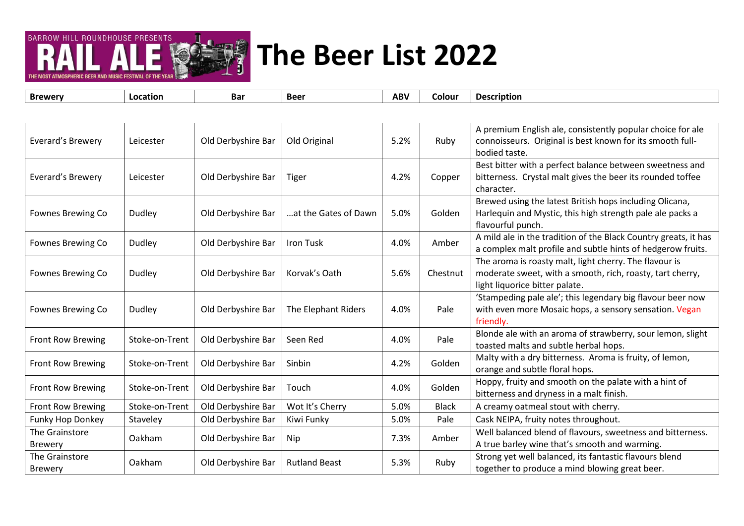

| <b>Brewery</b>                   | Location       | <b>Bar</b>         | <b>Beer</b>          | <b>ABV</b> | Colour       | <b>Description</b>                                                                                                                                    |
|----------------------------------|----------------|--------------------|----------------------|------------|--------------|-------------------------------------------------------------------------------------------------------------------------------------------------------|
|                                  |                |                    |                      |            |              |                                                                                                                                                       |
| Everard's Brewery                | Leicester      | Old Derbyshire Bar | Old Original         | 5.2%       | Ruby         | A premium English ale, consistently popular choice for ale<br>connoisseurs. Original is best known for its smooth full-<br>bodied taste.              |
| Everard's Brewery                | Leicester      | Old Derbyshire Bar | <b>Tiger</b>         | 4.2%       | Copper       | Best bitter with a perfect balance between sweetness and<br>bitterness. Crystal malt gives the beer its rounded toffee<br>character.                  |
| Fownes Brewing Co                | Dudley         | Old Derbyshire Bar | at the Gates of Dawn | 5.0%       | Golden       | Brewed using the latest British hops including Olicana,<br>Harlequin and Mystic, this high strength pale ale packs a<br>flavourful punch.             |
| Fownes Brewing Co                | Dudley         | Old Derbyshire Bar | <b>Iron Tusk</b>     | 4.0%       | Amber        | A mild ale in the tradition of the Black Country greats, it has<br>a complex malt profile and subtle hints of hedgerow fruits.                        |
| Fownes Brewing Co                | Dudley         | Old Derbyshire Bar | Korvak's Oath        | 5.6%       | Chestnut     | The aroma is roasty malt, light cherry. The flavour is<br>moderate sweet, with a smooth, rich, roasty, tart cherry,<br>light liquorice bitter palate. |
| Fownes Brewing Co                | Dudley         | Old Derbyshire Bar | The Elephant Riders  | 4.0%       | Pale         | 'Stampeding pale ale'; this legendary big flavour beer now<br>with even more Mosaic hops, a sensory sensation. Vegan<br>friendly.                     |
| <b>Front Row Brewing</b>         | Stoke-on-Trent | Old Derbyshire Bar | Seen Red             | 4.0%       | Pale         | Blonde ale with an aroma of strawberry, sour lemon, slight<br>toasted malts and subtle herbal hops.                                                   |
| Front Row Brewing                | Stoke-on-Trent | Old Derbyshire Bar | Sinbin               | 4.2%       | Golden       | Malty with a dry bitterness. Aroma is fruity, of lemon,<br>orange and subtle floral hops.                                                             |
| Front Row Brewing                | Stoke-on-Trent | Old Derbyshire Bar | Touch                | 4.0%       | Golden       | Hoppy, fruity and smooth on the palate with a hint of<br>bitterness and dryness in a malt finish.                                                     |
| Front Row Brewing                | Stoke-on-Trent | Old Derbyshire Bar | Wot It's Cherry      | 5.0%       | <b>Black</b> | A creamy oatmeal stout with cherry.                                                                                                                   |
| Funky Hop Donkey                 | Staveley       | Old Derbyshire Bar | Kiwi Funky           | 5.0%       | Pale         | Cask NEIPA, fruity notes throughout.                                                                                                                  |
| The Grainstore<br><b>Brewery</b> | Oakham         | Old Derbyshire Bar | Nip                  | 7.3%       | Amber        | Well balanced blend of flavours, sweetness and bitterness.<br>A true barley wine that's smooth and warming.                                           |
| The Grainstore<br><b>Brewery</b> | Oakham         | Old Derbyshire Bar | <b>Rutland Beast</b> | 5.3%       | Ruby         | Strong yet well balanced, its fantastic flavours blend<br>together to produce a mind blowing great beer.                                              |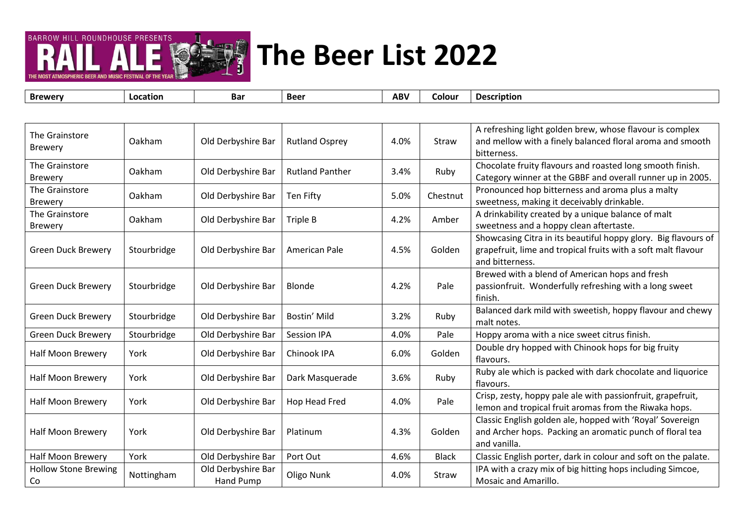

| <b>Brewery</b>                    | Location    | <b>Bar</b>                      | <b>Beer</b>            | <b>ABV</b> | Colour       | <b>Description</b>                                                                                                                                 |
|-----------------------------------|-------------|---------------------------------|------------------------|------------|--------------|----------------------------------------------------------------------------------------------------------------------------------------------------|
|                                   |             |                                 |                        |            |              |                                                                                                                                                    |
| The Grainstore<br><b>Brewery</b>  | Oakham      | Old Derbyshire Bar              | <b>Rutland Osprey</b>  | 4.0%       | Straw        | A refreshing light golden brew, whose flavour is complex<br>and mellow with a finely balanced floral aroma and smooth<br>bitterness.               |
| The Grainstore<br><b>Brewery</b>  | Oakham      | Old Derbyshire Bar              | <b>Rutland Panther</b> | 3.4%       | Ruby         | Chocolate fruity flavours and roasted long smooth finish.<br>Category winner at the GBBF and overall runner up in 2005.                            |
| The Grainstore<br><b>Brewery</b>  | Oakham      | Old Derbyshire Bar              | Ten Fifty              | 5.0%       | Chestnut     | Pronounced hop bitterness and aroma plus a malty<br>sweetness, making it deceivably drinkable.                                                     |
| The Grainstore<br><b>Brewery</b>  | Oakham      | Old Derbyshire Bar              | Triple B               | 4.2%       | Amber        | A drinkability created by a unique balance of malt<br>sweetness and a hoppy clean aftertaste.                                                      |
| <b>Green Duck Brewery</b>         | Stourbridge | Old Derbyshire Bar              | American Pale          | 4.5%       | Golden       | Showcasing Citra in its beautiful hoppy glory. Big flavours of<br>grapefruit, lime and tropical fruits with a soft malt flavour<br>and bitterness. |
| <b>Green Duck Brewery</b>         | Stourbridge | Old Derbyshire Bar              | Blonde                 | 4.2%       | Pale         | Brewed with a blend of American hops and fresh<br>passionfruit. Wonderfully refreshing with a long sweet<br>finish.                                |
| <b>Green Duck Brewery</b>         | Stourbridge | Old Derbyshire Bar              | Bostin' Mild           | 3.2%       | Ruby         | Balanced dark mild with sweetish, hoppy flavour and chewy<br>malt notes.                                                                           |
| <b>Green Duck Brewery</b>         | Stourbridge | Old Derbyshire Bar              | <b>Session IPA</b>     | 4.0%       | Pale         | Hoppy aroma with a nice sweet citrus finish.                                                                                                       |
| <b>Half Moon Brewery</b>          | York        | Old Derbyshire Bar              | Chinook IPA            | 6.0%       | Golden       | Double dry hopped with Chinook hops for big fruity<br>flavours.                                                                                    |
| Half Moon Brewery                 | York        | Old Derbyshire Bar              | Dark Masquerade        | 3.6%       | Ruby         | Ruby ale which is packed with dark chocolate and liquorice<br>flavours.                                                                            |
| Half Moon Brewery                 | York        | Old Derbyshire Bar              | Hop Head Fred          | 4.0%       | Pale         | Crisp, zesty, hoppy pale ale with passionfruit, grapefruit,<br>lemon and tropical fruit aromas from the Riwaka hops.                               |
| Half Moon Brewery                 | York        | Old Derbyshire Bar              | Platinum               | 4.3%       | Golden       | Classic English golden ale, hopped with 'Royal' Sovereign<br>and Archer hops. Packing an aromatic punch of floral tea<br>and vanilla.              |
| Half Moon Brewery                 | York        | Old Derbyshire Bar              | Port Out               | 4.6%       | <b>Black</b> | Classic English porter, dark in colour and soft on the palate.                                                                                     |
| <b>Hollow Stone Brewing</b><br>Co | Nottingham  | Old Derbyshire Bar<br>Hand Pump | Oligo Nunk             | 4.0%       | Straw        | IPA with a crazy mix of big hitting hops including Simcoe,<br>Mosaic and Amarillo.                                                                 |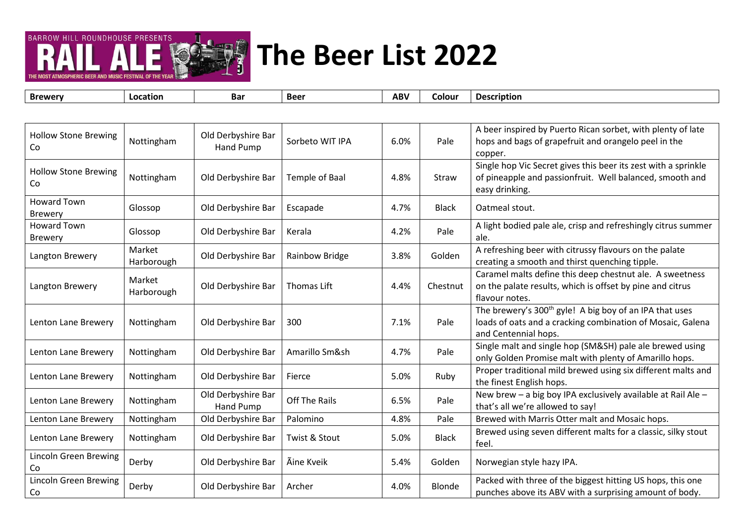

**Brewery Location Bar Beer ABV Colour Description** Hollow Stone Brewing | Nottingham | Old Derbyshire Bar<br>Co | Hand Pump Old Derbyshire Bar <br>Hand Pump Sorbeto WIT IPA 6.0% Pale A beer inspired by Puerto Rican sorbet, with plenty of late hops and bags of grapefruit and orangelo peel in the copper. Hollow Stone Brewing Co **Nottingham And Derbyshire Bar | Temple of Baal** 14.8% Straw Single hop Vic Secret gives this beer its zest with a sprinkle of pineapple and passionfruit. Well balanced, smooth and easy drinking. Howard Town Brewery **Glossop Product Area** Old Derbyshire Bar Escapade Alexandre Alexandre Black Oatmeal stout.<br>Brewery Howard Town Howard Town (Glossop | Old Derbyshire Bar | Kerala | 4.2% | Alight bodied pale ale, crisp and refreshingly citrus summer<br>Brewery ale. Langton Brewery Market<br>Harborough Market | Old Derbyshire Bar | Rainbow Bridge | 3.8% | Golden | A refreshing beer with citrussy flavours on the palate | 3.8% | Golden | A refreshing beer with citrussy flavours on the palate | creating a smooth and thirst Langton Brewery Market<br>Harborough Old Derbyshire Bar | Thomas Lift | 4.4% Chestnut Caramel malts define this deep chestnut ale. A sweetness on the palate results, which is offset by pine and citrus flavour notes. Lenton Lane Brewery Nottingham | Old Derbyshire Bar | 300 | 7.1% | Pale The brewery's 300<sup>th</sup> gyle! A big boy of an IPA that uses loads of oats and a cracking combination of Mosaic, Galena and Centennial hops. Lenton Lane Brewery Nottingham Old Derbyshire Bar Amarillo Sm&sh 4.7% Pale Single malt and single hop (SM&SH) pale ale brewed using only Golden Promise malt with plenty of Amarillo hops. Lenton Lane Brewery Nottingham Old Derbyshire Bar Fierce 1999 and the S.0% Ruby Proper traditional mild brewed using six different malts and the finest English hops. Lenton Lane Brewery Nottingham | Old Derbyshire Bar Off The Rails  $\begin{vmatrix} 6.5\% \end{vmatrix}$  Pale New brew – a big boy IPA exclusively available at Rail Ale – that's all we're allowed to say! Lenton Lane Brewery | Nottingham | Old Derbyshire Bar | Palomino | 4.8% | Pale | Brewed with Marris Otter malt and Mosaic hops. Lenton Lane Brewery Nottingham Old Derbyshire Bar Twist & Stout BLO% Black Brewed using seven different malts for a classic, silky stout feel. Lincoln Green Brewing Co Derby Derby Cold Derbyshire Bar | Ãine Kveik | 5.4% | Golden | Norwegian style hazy IPA.<br>Co Lincoln Green Brewing Lincoln Green Brewing Derby (Did Derbyshire Bar Archer 1998) and the punches above its ABV with a surprising amount of body.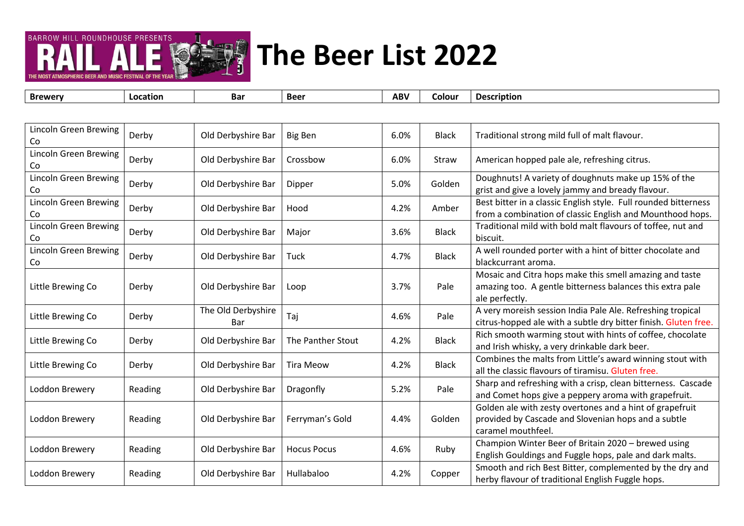

**Brewery Location Bar Beer ABV Colour Description** Lincoln Green Brewing Co Derby Co Co Black Traditional strong mild full of malt flavour.<br>Co Lincoln Green Brewing Co Co Derby Co Co Derby Co Derbyshire Bar Crossbow Co Co Craw American hopped pale ale, refreshing citrus. Lincoln Green Brewing Lincoln Green Brewing Derby Co Co Derbyshire Bar Dipper Co States Super Co Co Colden Doughnuts! A variety of doughnuts make up 15% of the grist and give a lovely jammy and bready flavour. Lincoln Green Brewing Lincoln Green Brewing Derby (Did Derbyshire Bar | Hood | 4.2% | Amber | Best bitter in a classic English style. Full rounded bitterness Co<br>Co | from a combination of classic English and Mounthood hops. Lincoln Green Brewing Lincoln Green Brewing Derby **Old Derbyshire Bar** Major 1976 8.6% Black Traditional mild with bold malt flavours of toffee, nut and biscuit. Lincoln Green Brewing Co Derby Old Derbyshire Bar Tuck 4.7% Black A well rounded porter with a hint of bitter chocolate and blackcurrant aroma. Little Brewing Co Derby Old Derbyshire Bar Loop 3.7% Pale Mosaic and Citra hops make this smell amazing and taste amazing too. A gentle bitterness balances this extra pale ale perfectly. Little Brewing Co  $\left\vert \right.$  Derby  $\left\vert \right.$  The Old Derbyshire Derbyshire Taj Taj (and A very moreish session India Pale Ale. Refreshing tropical and A very moreish session India Pale Ale. Refreshing tropical exercises and the Museum of the California Bar and Taj Little Brewing Co Derby Old Derbyshire Bar The Panther Stout 4.2% Black Rich smooth warming stout with hints of coffee, chocolate and Irish whisky, a very drinkable dark beer. Little Brewing Co Derby Old Derbyshire Bar Tira Meow 4.2% Black Combines the malts from Little's award winning stout with all the classic flavours of tiramisu. Gluten free. Loddon Brewery Reading | Old Derbyshire Bar | Dragonfly | 5.2% Pale Sharp and refreshing with a crisp, clean bitterness. Cascade and Comet hops give a peppery aroma with grapefruit. Loddon Brewery Reading | Old Derbyshire Bar | Ferryman's Gold | 4.4% | Golden Golden ale with zesty overtones and a hint of grapefruit provided by Cascade and Slovenian hops and a subtle caramel mouthfeel. Loddon Brewery Reading Old Derbyshire Bar Hocus Pocus 1.6% Ruby Champion Winter Beer of Britain 2020 – brewed using English Gouldings and Fuggle hops, pale and dark malts. Loddon Brewery Reading Old Derbyshire Bar Hullabaloo 4.2% Copper Smooth and rich Best Bitter, complemented by the dry and herby flavour of traditional English Fuggle hops.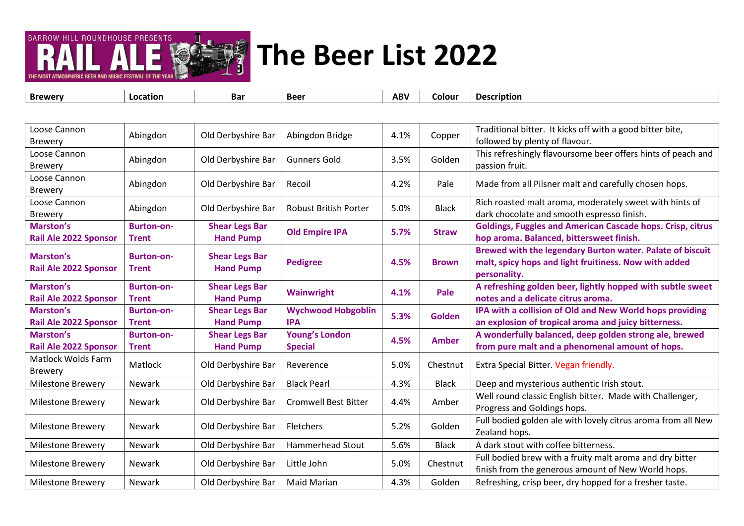

THE MOST ATMOSPHERIC REER AND MUSIC FESTIVAL OF TH

| Loose Cannon<br><b>Brewery</b>                   | Abingdon                          | Old Derbyshire Bar                        | Abingdon Bridge                         | 4.1% | Copper        | Traditional bitter. It kicks off with a good bitter bite,<br>followed by plenty of flavour.                                        |
|--------------------------------------------------|-----------------------------------|-------------------------------------------|-----------------------------------------|------|---------------|------------------------------------------------------------------------------------------------------------------------------------|
| Loose Cannon<br><b>Brewery</b>                   | Abingdon                          | Old Derbyshire Bar                        | <b>Gunners Gold</b>                     | 3.5% | Golden        | This refreshingly flavoursome beer offers hints of peach and<br>passion fruit.                                                     |
| Loose Cannon<br>Brewery                          | Abingdon                          | Old Derbyshire Bar                        | Recoil                                  | 4.2% | Pale          | Made from all Pilsner malt and carefully chosen hops.                                                                              |
| Loose Cannon<br><b>Brewery</b>                   | Abingdon                          | Old Derbyshire Bar                        | <b>Robust British Porter</b>            | 5.0% | <b>Black</b>  | Rich roasted malt aroma, moderately sweet with hints of<br>dark chocolate and smooth espresso finish.                              |
| <b>Marston's</b><br><b>Rail Ale 2022 Sponsor</b> | <b>Burton-on-</b><br><b>Trent</b> | <b>Shear Legs Bar</b><br><b>Hand Pump</b> | <b>Old Empire IPA</b>                   | 5.7% | <b>Straw</b>  | <b>Goldings, Fuggles and American Cascade hops. Crisp, citrus</b><br>hop aroma. Balanced, bittersweet finish.                      |
| Marston's<br><b>Rail Ale 2022 Sponsor</b>        | <b>Burton-on-</b><br><b>Trent</b> | <b>Shear Legs Bar</b><br><b>Hand Pump</b> | <b>Pedigree</b>                         | 4.5% | <b>Brown</b>  | Brewed with the legendary Burton water. Palate of biscuit<br>malt, spicy hops and light fruitiness. Now with added<br>personality. |
| <b>Marston's</b><br>Rail Ale 2022 Sponsor        | <b>Burton-on-</b><br><b>Trent</b> | <b>Shear Legs Bar</b><br><b>Hand Pump</b> | <b>Wainwright</b>                       | 4.1% | Pale          | A refreshing golden beer, lightly hopped with subtle sweet<br>notes and a delicate citrus aroma.                                   |
| Marston's<br>Rail Ale 2022 Sponsor               | <b>Burton-on-</b><br><b>Trent</b> | <b>Shear Legs Bar</b><br><b>Hand Pump</b> | <b>Wychwood Hobgoblin</b><br><b>IPA</b> | 5.3% | <b>Golden</b> | IPA with a collision of Old and New World hops providing<br>an explosion of tropical aroma and juicy bitterness.                   |
| <b>Marston's</b><br>Rail Ale 2022 Sponsor        | <b>Burton-on-</b><br><b>Trent</b> | <b>Shear Legs Bar</b><br><b>Hand Pump</b> | <b>Young's London</b><br><b>Special</b> | 4.5% | <b>Amber</b>  | A wonderfully balanced, deep golden strong ale, brewed<br>from pure malt and a phenomenal amount of hops.                          |
| <b>Matlock Wolds Farm</b><br><b>Brewery</b>      | Matlock                           | Old Derbyshire Bar                        | Reverence                               | 5.0% | Chestnut      | Extra Special Bitter. Vegan friendly.                                                                                              |
| <b>Milestone Brewery</b>                         | Newark                            | Old Derbyshire Bar                        | <b>Black Pearl</b>                      | 4.3% | <b>Black</b>  | Deep and mysterious authentic Irish stout.                                                                                         |
| <b>Milestone Brewery</b>                         | <b>Newark</b>                     | Old Derbyshire Bar                        | <b>Cromwell Best Bitter</b>             | 4.4% | Amber         | Well round classic English bitter. Made with Challenger,<br>Progress and Goldings hops.                                            |
| <b>Milestone Brewery</b>                         | <b>Newark</b>                     | Old Derbyshire Bar                        | Fletchers                               | 5.2% | Golden        | Full bodied golden ale with lovely citrus aroma from all New<br>Zealand hops.                                                      |
| <b>Milestone Brewery</b>                         | Newark                            | Old Derbyshire Bar                        | <b>Hammerhead Stout</b>                 | 5.6% | <b>Black</b>  | A dark stout with coffee bitterness.                                                                                               |
| <b>Milestone Brewery</b>                         | <b>Newark</b>                     | Old Derbyshire Bar                        | Little John                             | 5.0% | Chestnut      | Full bodied brew with a fruity malt aroma and dry bitter<br>finish from the generous amount of New World hops.                     |
| <b>Milestone Brewery</b>                         | Newark                            | Old Derbyshire Bar                        | <b>Maid Marian</b>                      | 4.3% | Golden        | Refreshing, crisp beer, dry hopped for a fresher taste.                                                                            |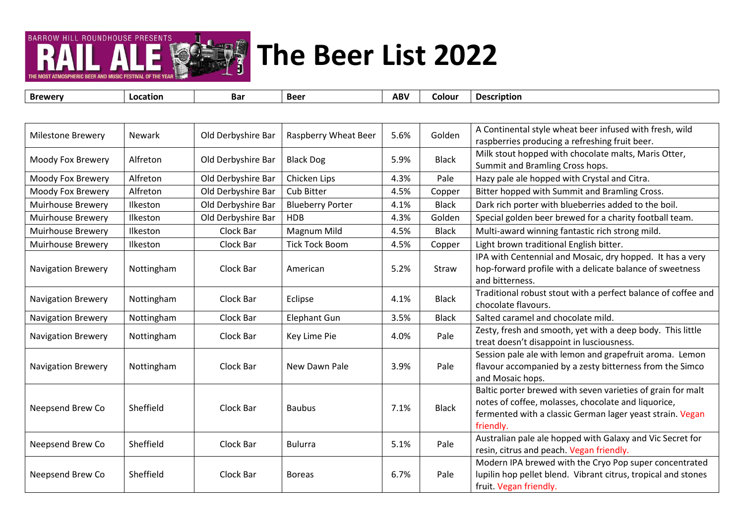

| <b>Brewery</b>            | Location      | Bar                | <b>Beer</b>             | <b>ABV</b> | Colour       | <b>Description</b>                                                                                                                                                                           |
|---------------------------|---------------|--------------------|-------------------------|------------|--------------|----------------------------------------------------------------------------------------------------------------------------------------------------------------------------------------------|
|                           |               |                    |                         |            |              |                                                                                                                                                                                              |
| <b>Milestone Brewery</b>  | <b>Newark</b> | Old Derbyshire Bar | Raspberry Wheat Beer    | 5.6%       | Golden       | A Continental style wheat beer infused with fresh, wild<br>raspberries producing a refreshing fruit beer.                                                                                    |
| Moody Fox Brewery         | Alfreton      | Old Derbyshire Bar | <b>Black Dog</b>        | 5.9%       | <b>Black</b> | Milk stout hopped with chocolate malts, Maris Otter,<br>Summit and Bramling Cross hops.                                                                                                      |
| Moody Fox Brewery         | Alfreton      | Old Derbyshire Bar | Chicken Lips            | 4.3%       | Pale         | Hazy pale ale hopped with Crystal and Citra.                                                                                                                                                 |
| Moody Fox Brewery         | Alfreton      | Old Derbyshire Bar | Cub Bitter              | 4.5%       | Copper       | Bitter hopped with Summit and Bramling Cross.                                                                                                                                                |
| <b>Muirhouse Brewery</b>  | Ilkeston      | Old Derbyshire Bar | <b>Blueberry Porter</b> | 4.1%       | <b>Black</b> | Dark rich porter with blueberries added to the boil.                                                                                                                                         |
| <b>Muirhouse Brewery</b>  | Ilkeston      | Old Derbyshire Bar | <b>HDB</b>              | 4.3%       | Golden       | Special golden beer brewed for a charity football team.                                                                                                                                      |
| <b>Muirhouse Brewery</b>  | Ilkeston      | Clock Bar          | Magnum Mild             | 4.5%       | <b>Black</b> | Multi-award winning fantastic rich strong mild.                                                                                                                                              |
| <b>Muirhouse Brewery</b>  | Ilkeston      | Clock Bar          | <b>Tick Tock Boom</b>   | 4.5%       | Copper       | Light brown traditional English bitter.                                                                                                                                                      |
| Navigation Brewery        | Nottingham    | Clock Bar          | American                | 5.2%       | Straw        | IPA with Centennial and Mosaic, dry hopped. It has a very<br>hop-forward profile with a delicate balance of sweetness<br>and bitterness.                                                     |
| <b>Navigation Brewery</b> | Nottingham    | Clock Bar          | Eclipse                 | 4.1%       | <b>Black</b> | Traditional robust stout with a perfect balance of coffee and<br>chocolate flavours.                                                                                                         |
| <b>Navigation Brewery</b> | Nottingham    | Clock Bar          | <b>Elephant Gun</b>     | 3.5%       | <b>Black</b> | Salted caramel and chocolate mild.                                                                                                                                                           |
| <b>Navigation Brewery</b> | Nottingham    | Clock Bar          | Key Lime Pie            | 4.0%       | Pale         | Zesty, fresh and smooth, yet with a deep body. This little<br>treat doesn't disappoint in lusciousness.                                                                                      |
| <b>Navigation Brewery</b> | Nottingham    | Clock Bar          | New Dawn Pale           | 3.9%       | Pale         | Session pale ale with lemon and grapefruit aroma. Lemon<br>flavour accompanied by a zesty bitterness from the Simco<br>and Mosaic hops.                                                      |
| Neepsend Brew Co          | Sheffield     | Clock Bar          | <b>Baubus</b>           | 7.1%       | <b>Black</b> | Baltic porter brewed with seven varieties of grain for malt<br>notes of coffee, molasses, chocolate and liquorice,<br>fermented with a classic German lager yeast strain. Vegan<br>friendly. |
| Neepsend Brew Co          | Sheffield     | Clock Bar          | <b>Bulurra</b>          | 5.1%       | Pale         | Australian pale ale hopped with Galaxy and Vic Secret for<br>resin, citrus and peach. Vegan friendly.                                                                                        |
| Neepsend Brew Co          | Sheffield     | Clock Bar          | <b>Boreas</b>           | 6.7%       | Pale         | Modern IPA brewed with the Cryo Pop super concentrated<br>lupilin hop pellet blend. Vibrant citrus, tropical and stones<br>fruit. Vegan friendly.                                            |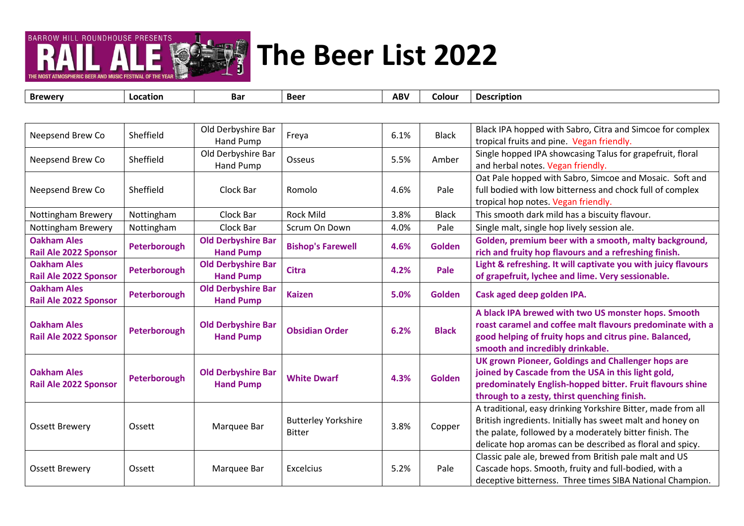

| Neepsend Brew Co                                   | Sheffield    | Old Derbyshire Bar<br>Hand Pump               | Freya                                       | 6.1% | <b>Black</b>  | Black IPA hopped with Sabro, Citra and Simcoe for complex<br>tropical fruits and pine. Vegan friendly.                                                                                                                                             |
|----------------------------------------------------|--------------|-----------------------------------------------|---------------------------------------------|------|---------------|----------------------------------------------------------------------------------------------------------------------------------------------------------------------------------------------------------------------------------------------------|
| Neepsend Brew Co                                   | Sheffield    | Old Derbyshire Bar<br>Hand Pump               | Osseus                                      | 5.5% | Amber         | Single hopped IPA showcasing Talus for grapefruit, floral<br>and herbal notes. Vegan friendly.                                                                                                                                                     |
| Neepsend Brew Co                                   | Sheffield    | Clock Bar                                     | Romolo                                      | 4.6% | Pale          | Oat Pale hopped with Sabro, Simcoe and Mosaic. Soft and<br>full bodied with low bitterness and chock full of complex<br>tropical hop notes. Vegan friendly.                                                                                        |
| Nottingham Brewery                                 | Nottingham   | Clock Bar                                     | <b>Rock Mild</b>                            | 3.8% | <b>Black</b>  | This smooth dark mild has a biscuity flavour.                                                                                                                                                                                                      |
| Nottingham Brewery                                 | Nottingham   | Clock Bar                                     | Scrum On Down                               | 4.0% | Pale          | Single malt, single hop lively session ale.                                                                                                                                                                                                        |
| <b>Oakham Ales</b><br><b>Rail Ale 2022 Sponsor</b> | Peterborough | <b>Old Derbyshire Bar</b><br><b>Hand Pump</b> | <b>Bishop's Farewell</b>                    | 4.6% | <b>Golden</b> | Golden, premium beer with a smooth, malty background,<br>rich and fruity hop flavours and a refreshing finish.                                                                                                                                     |
| <b>Oakham Ales</b><br><b>Rail Ale 2022 Sponsor</b> | Peterborough | <b>Old Derbyshire Bar</b><br><b>Hand Pump</b> | <b>Citra</b>                                | 4.2% | Pale          | Light & refreshing. It will captivate you with juicy flavours<br>of grapefruit, lychee and lime. Very sessionable.                                                                                                                                 |
| <b>Oakham Ales</b><br><b>Rail Ale 2022 Sponsor</b> | Peterborough | <b>Old Derbyshire Bar</b><br><b>Hand Pump</b> | <b>Kaizen</b>                               | 5.0% | <b>Golden</b> | Cask aged deep golden IPA.                                                                                                                                                                                                                         |
| <b>Oakham Ales</b><br><b>Rail Ale 2022 Sponsor</b> | Peterborough | <b>Old Derbyshire Bar</b><br><b>Hand Pump</b> | <b>Obsidian Order</b>                       | 6.2% | <b>Black</b>  | A black IPA brewed with two US monster hops. Smooth<br>roast caramel and coffee malt flavours predominate with a<br>good helping of fruity hops and citrus pine. Balanced,<br>smooth and incredibly drinkable.                                     |
| <b>Oakham Ales</b><br><b>Rail Ale 2022 Sponsor</b> | Peterborough | <b>Old Derbyshire Bar</b><br><b>Hand Pump</b> | <b>White Dwarf</b>                          | 4.3% | <b>Golden</b> | UK grown Pioneer, Goldings and Challenger hops are<br>joined by Cascade from the USA in this light gold,<br>predominately English-hopped bitter. Fruit flavours shine<br>through to a zesty, thirst quenching finish.                              |
| <b>Ossett Brewery</b>                              | Ossett       | Marquee Bar                                   | <b>Butterley Yorkshire</b><br><b>Bitter</b> | 3.8% | Copper        | A traditional, easy drinking Yorkshire Bitter, made from all<br>British ingredients. Initially has sweet malt and honey on<br>the palate, followed by a moderately bitter finish. The<br>delicate hop aromas can be described as floral and spicy. |
| <b>Ossett Brewery</b>                              | Ossett       | Marquee Bar                                   | Excelcius                                   | 5.2% | Pale          | Classic pale ale, brewed from British pale malt and US<br>Cascade hops. Smooth, fruity and full-bodied, with a<br>deceptive bitterness. Three times SIBA National Champion.                                                                        |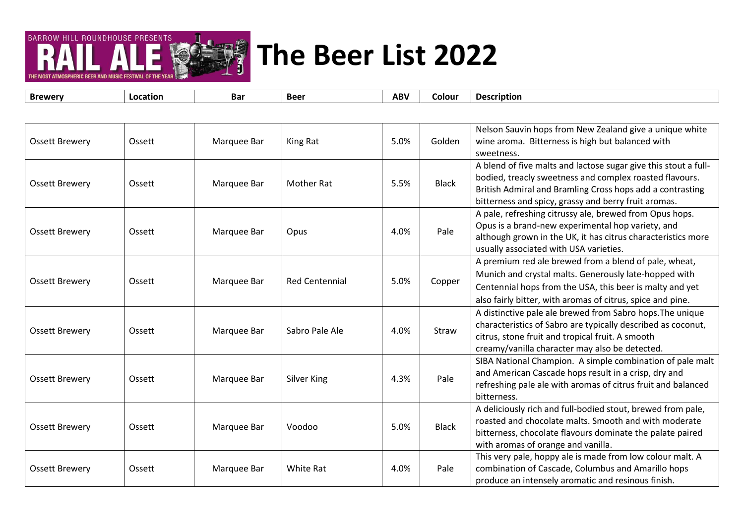

THE MOST ATMOSPHERIC REER AND

| <b>Brewery</b>        | Location | <b>Bar</b>  | <b>Beer</b>           | <b>ABV</b> | Colour       | <b>Description</b>                                                                                                                                                                                                                              |
|-----------------------|----------|-------------|-----------------------|------------|--------------|-------------------------------------------------------------------------------------------------------------------------------------------------------------------------------------------------------------------------------------------------|
|                       |          |             |                       |            |              |                                                                                                                                                                                                                                                 |
| <b>Ossett Brewery</b> | Ossett   | Marquee Bar | King Rat              | 5.0%       | Golden       | Nelson Sauvin hops from New Zealand give a unique white<br>wine aroma. Bitterness is high but balanced with<br>sweetness.                                                                                                                       |
| <b>Ossett Brewery</b> | Ossett   | Marquee Bar | <b>Mother Rat</b>     | 5.5%       | <b>Black</b> | A blend of five malts and lactose sugar give this stout a full-<br>bodied, treacly sweetness and complex roasted flavours.<br>British Admiral and Bramling Cross hops add a contrasting<br>bitterness and spicy, grassy and berry fruit aromas. |
| <b>Ossett Brewery</b> | Ossett   | Marquee Bar | Opus                  | 4.0%       | Pale         | A pale, refreshing citrussy ale, brewed from Opus hops.<br>Opus is a brand-new experimental hop variety, and<br>although grown in the UK, it has citrus characteristics more<br>usually associated with USA varieties.                          |
| <b>Ossett Brewery</b> | Ossett   | Marquee Bar | <b>Red Centennial</b> | 5.0%       | Copper       | A premium red ale brewed from a blend of pale, wheat,<br>Munich and crystal malts. Generously late-hopped with<br>Centennial hops from the USA, this beer is malty and yet<br>also fairly bitter, with aromas of citrus, spice and pine.        |
| <b>Ossett Brewery</b> | Ossett   | Marquee Bar | Sabro Pale Ale        | 4.0%       | Straw        | A distinctive pale ale brewed from Sabro hops. The unique<br>characteristics of Sabro are typically described as coconut,<br>citrus, stone fruit and tropical fruit. A smooth<br>creamy/vanilla character may also be detected.                 |
| <b>Ossett Brewery</b> | Ossett   | Marquee Bar | Silver King           | 4.3%       | Pale         | SIBA National Champion. A simple combination of pale malt<br>and American Cascade hops result in a crisp, dry and<br>refreshing pale ale with aromas of citrus fruit and balanced<br>bitterness.                                                |
| <b>Ossett Brewery</b> | Ossett   | Marquee Bar | Voodoo                | 5.0%       | <b>Black</b> | A deliciously rich and full-bodied stout, brewed from pale,<br>roasted and chocolate malts. Smooth and with moderate<br>bitterness, chocolate flavours dominate the palate paired<br>with aromas of orange and vanilla.                         |
| <b>Ossett Brewery</b> | Ossett   | Marquee Bar | White Rat             | 4.0%       | Pale         | This very pale, hoppy ale is made from low colour malt. A<br>combination of Cascade, Columbus and Amarillo hops<br>produce an intensely aromatic and resinous finish.                                                                           |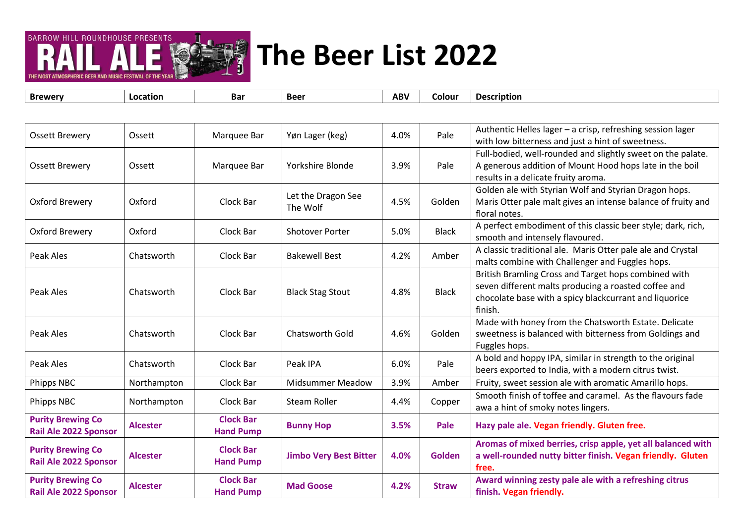

THE MOST ATMOSPHERIC REER AND MUSIC FESTIVAL OF TH

| <b>Ossett Brewery</b>        | Ossett          | Marquee Bar      | Yøn Lager (keg)               | 4.0% | Pale          | Authentic Helles lager - a crisp, refreshing session lager        |
|------------------------------|-----------------|------------------|-------------------------------|------|---------------|-------------------------------------------------------------------|
|                              |                 |                  |                               |      |               | with low bitterness and just a hint of sweetness.                 |
|                              |                 | Marquee Bar      |                               |      |               | Full-bodied, well-rounded and slightly sweet on the palate.       |
| <b>Ossett Brewery</b>        | Ossett          |                  | Yorkshire Blonde              | 3.9% | Pale          | A generous addition of Mount Hood hops late in the boil           |
|                              |                 |                  |                               |      |               | results in a delicate fruity aroma.                               |
|                              |                 |                  | Let the Dragon See            |      |               | Golden ale with Styrian Wolf and Styrian Dragon hops.             |
| Oxford Brewery               | Oxford          | Clock Bar        | The Wolf                      | 4.5% | Golden        | Maris Otter pale malt gives an intense balance of fruity and      |
|                              |                 |                  |                               |      |               | floral notes.                                                     |
| Oxford Brewery               | Oxford          | Clock Bar        | <b>Shotover Porter</b>        | 5.0% | <b>Black</b>  | A perfect embodiment of this classic beer style; dark, rich,      |
|                              |                 |                  |                               |      |               | smooth and intensely flavoured.                                   |
| Peak Ales                    | Chatsworth      | Clock Bar        | <b>Bakewell Best</b>          |      | Amber         | A classic traditional ale. Maris Otter pale ale and Crystal       |
|                              |                 |                  |                               |      |               | malts combine with Challenger and Fuggles hops.                   |
|                              | Chatsworth      | Clock Bar        | <b>Black Stag Stout</b>       | 4.8% |               | British Bramling Cross and Target hops combined with              |
| Peak Ales                    |                 |                  |                               |      | <b>Black</b>  | seven different malts producing a roasted coffee and              |
|                              |                 |                  |                               |      |               | chocolate base with a spicy blackcurrant and liquorice<br>finish. |
|                              |                 |                  |                               |      |               | Made with honey from the Chatsworth Estate. Delicate              |
| Peak Ales                    | Chatsworth      | Clock Bar        | <b>Chatsworth Gold</b>        | 4.6% | Golden        | sweetness is balanced with bitterness from Goldings and           |
|                              |                 |                  |                               |      |               | Fuggles hops.                                                     |
|                              |                 |                  |                               |      |               | A bold and hoppy IPA, similar in strength to the original         |
| Peak Ales                    | Chatsworth      | Clock Bar        | Peak IPA                      | 6.0% | Pale          | beers exported to India, with a modern citrus twist.              |
| Phipps NBC                   | Northampton     | Clock Bar        | <b>Midsummer Meadow</b>       | 3.9% | Amber         | Fruity, sweet session ale with aromatic Amarillo hops.            |
|                              |                 |                  |                               |      |               | Smooth finish of toffee and caramel. As the flavours fade         |
| Phipps NBC                   | Northampton     | Clock Bar        | <b>Steam Roller</b>           | 4.4% | Copper        | awa a hint of smoky notes lingers.                                |
| <b>Purity Brewing Co</b>     |                 | <b>Clock Bar</b> |                               |      |               |                                                                   |
| <b>Rail Ale 2022 Sponsor</b> | <b>Alcester</b> | <b>Hand Pump</b> | <b>Bunny Hop</b>              | 3.5% | Pale          | Hazy pale ale. Vegan friendly. Gluten free.                       |
|                              |                 |                  |                               |      |               | Aromas of mixed berries, crisp apple, yet all balanced with       |
| <b>Purity Brewing Co</b>     | <b>Alcester</b> | <b>Clock Bar</b> | <b>Jimbo Very Best Bitter</b> | 4.0% | <b>Golden</b> | a well-rounded nutty bitter finish. Vegan friendly. Gluten        |
| Rail Ale 2022 Sponsor        |                 | <b>Hand Pump</b> |                               |      |               | free.                                                             |
| <b>Purity Brewing Co</b>     |                 | <b>Clock Bar</b> |                               |      |               | Award winning zesty pale ale with a refreshing citrus             |
| Rail Ale 2022 Sponsor        | <b>Alcester</b> | <b>Hand Pump</b> | <b>Mad Goose</b>              | 4.2% | <b>Straw</b>  | finish. Vegan friendly.                                           |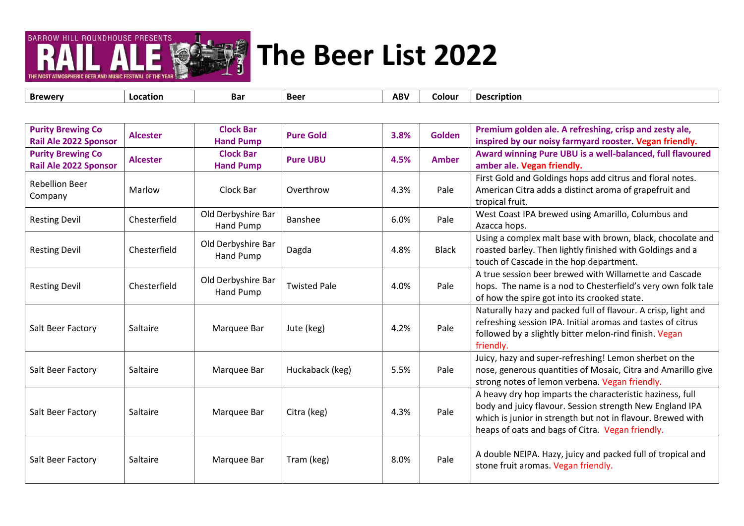

| <b>Brewerv</b> | Location | Baı | Beer | <b>ABV</b> | Colour | <b>Description</b> |
|----------------|----------|-----|------|------------|--------|--------------------|
|                |          |     |      |            |        |                    |

| <b>Purity Brewing Co</b><br><b>Rail Ale 2022 Sponsor</b> | <b>Alcester</b> | <b>Clock Bar</b><br><b>Hand Pump</b> | <b>Pure Gold</b>    | 3.8% | Golden       | Premium golden ale. A refreshing, crisp and zesty ale,<br>inspired by our noisy farmyard rooster. Vegan friendly.                                                                                                                        |
|----------------------------------------------------------|-----------------|--------------------------------------|---------------------|------|--------------|------------------------------------------------------------------------------------------------------------------------------------------------------------------------------------------------------------------------------------------|
| <b>Purity Brewing Co</b><br><b>Rail Ale 2022 Sponsor</b> | <b>Alcester</b> | <b>Clock Bar</b><br><b>Hand Pump</b> | <b>Pure UBU</b>     | 4.5% | <b>Amber</b> | Award winning Pure UBU is a well-balanced, full flavoured<br>amber ale. Vegan friendly.                                                                                                                                                  |
| <b>Rebellion Beer</b><br>Company                         | Marlow          | Clock Bar                            | Overthrow           | 4.3% | Pale         | First Gold and Goldings hops add citrus and floral notes.<br>American Citra adds a distinct aroma of grapefruit and<br>tropical fruit.                                                                                                   |
| <b>Resting Devil</b>                                     | Chesterfield    | Old Derbyshire Bar<br>Hand Pump      | Banshee             | 6.0% | Pale         | West Coast IPA brewed using Amarillo, Columbus and<br>Azacca hops.                                                                                                                                                                       |
| <b>Resting Devil</b>                                     | Chesterfield    | Old Derbyshire Bar<br>Hand Pump      | Dagda               | 4.8% | <b>Black</b> | Using a complex malt base with brown, black, chocolate and<br>roasted barley. Then lightly finished with Goldings and a<br>touch of Cascade in the hop department.                                                                       |
| <b>Resting Devil</b>                                     | Chesterfield    | Old Derbyshire Bar<br>Hand Pump      | <b>Twisted Pale</b> | 4.0% | Pale         | A true session beer brewed with Willamette and Cascade<br>hops. The name is a nod to Chesterfield's very own folk tale<br>of how the spire got into its crooked state.                                                                   |
| Salt Beer Factory                                        | Saltaire        | Marquee Bar                          | Jute (keg)          | 4.2% | Pale         | Naturally hazy and packed full of flavour. A crisp, light and<br>refreshing session IPA. Initial aromas and tastes of citrus<br>followed by a slightly bitter melon-rind finish. Vegan<br>friendly.                                      |
| Salt Beer Factory                                        | Saltaire        | Marquee Bar                          | Huckaback (keg)     | 5.5% | Pale         | Juicy, hazy and super-refreshing! Lemon sherbet on the<br>nose, generous quantities of Mosaic, Citra and Amarillo give<br>strong notes of lemon verbena. Vegan friendly.                                                                 |
| Salt Beer Factory                                        | Saltaire        | Marquee Bar                          | Citra (keg)         | 4.3% | Pale         | A heavy dry hop imparts the characteristic haziness, full<br>body and juicy flavour. Session strength New England IPA<br>which is junior in strength but not in flavour. Brewed with<br>heaps of oats and bags of Citra. Vegan friendly. |
| Salt Beer Factory                                        | Saltaire        | Marquee Bar                          | Tram (keg)          | 8.0% | Pale         | A double NEIPA. Hazy, juicy and packed full of tropical and<br>stone fruit aromas. Vegan friendly.                                                                                                                                       |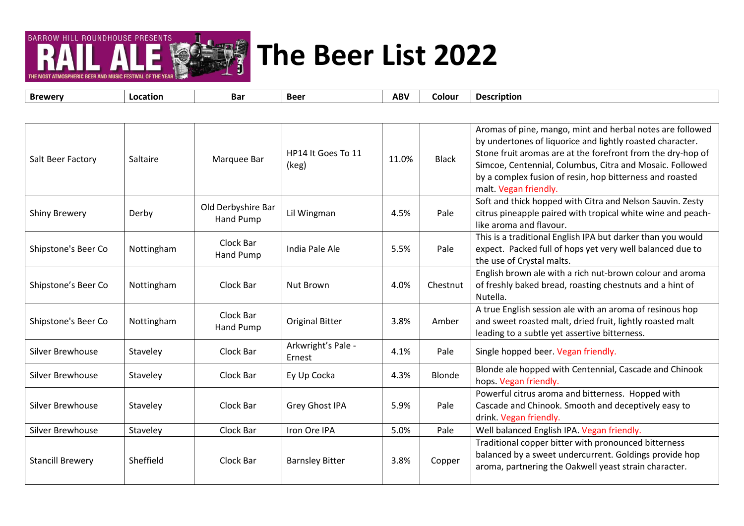

**Brewery Location Bar Beer ABV Colour Description** Salt Beer Factory Saltaire Marquee Bar HP14 It Goes To 11  $(\text{keg})$  and  $11.0\%$  Black Aromas of pine, mango, mint and herbal notes are followed by undertones of liquorice and lightly roasted character. Stone fruit aromas are at the forefront from the dry-hop of Simcoe, Centennial, Columbus, Citra and Mosaic. Followed by a complex fusion of resin, hop bitterness and roasted malt. Vegan friendly. Shiny Brewery Derby Derby<br>
Derby Hand Pump Lil Wingman  $\vert$  4.5%  $\vert$  Pale Soft and thick hopped with Citra and Nelson Sauvin. Zesty citrus pineapple paired with tropical white wine and peachlike aroma and flavour. Shipstone's Beer Co Nottingham Clock Bar Hand Pump | India Pale Ale | 5.5% | Pale This is a traditional English IPA but darker than you would expect. Packed full of hops yet very well balanced due to the use of Crystal malts. Shipstone's Beer Co Nottingham Clock Bar Nut Brown 1.0% Chestnut English brown ale with a rich nut-brown colour and aroma of freshly baked bread, roasting chestnuts and a hint of Nutella. Shipstone's Beer Co Nottingham Clock Bar Hand Pump | Original Bitter | 3.8% | Amber A true English session ale with an aroma of resinous hop and sweet roasted malt, dried fruit, lightly roasted malt leading to a subtle yet assertive bitterness. Silver Brewhouse Silver Brewhouse Silver Brewhouse Staveley Clock Bar Arkwright's Pale -4.1% Pale Single hopped beer. Vegan friendly. Silver Brewhouse Staveley Clock Bar Ey Up Cocka 4.3% Blonde Blonde ale hopped with Centennial, Cascade and Chinook hops. Vegan friendly. Silver Brewhouse Staveley | Clock Bar | Grey Ghost IPA | 5.9% | Pale Powerful citrus aroma and bitterness. Hopped with Cascade and Chinook. Smooth and deceptively easy to drink. Vegan friendly. Silver Brewhouse Staveley Staveley Clock Bar Iron Ore IPA 1998 Sulver Brewhouse State In Staveley State I Stav Stancill Brewery Sheffield Clock Bar Barnsley Bitter 3.8% Copper Traditional copper bitter with pronounced bitterness balanced by a sweet undercurrent. Goldings provide hop aroma, partnering the Oakwell yeast strain character.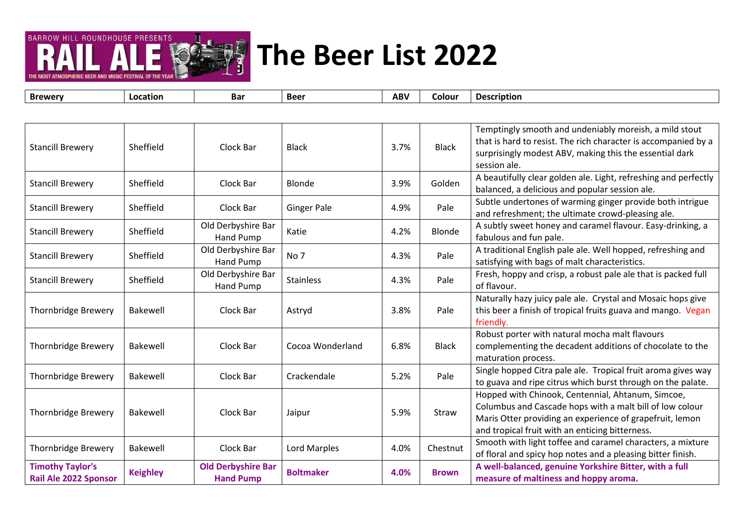

| <b>Brewery</b>                                          | Location        | Bar                                           | <b>Beer</b>        | <b>ABV</b> | Colour       | <b>Description</b>                                                                                                                                                                                                           |
|---------------------------------------------------------|-----------------|-----------------------------------------------|--------------------|------------|--------------|------------------------------------------------------------------------------------------------------------------------------------------------------------------------------------------------------------------------------|
|                                                         |                 |                                               |                    |            |              |                                                                                                                                                                                                                              |
| <b>Stancill Brewery</b>                                 | Sheffield       | Clock Bar                                     | <b>Black</b>       | 3.7%       | <b>Black</b> | Temptingly smooth and undeniably moreish, a mild stout<br>that is hard to resist. The rich character is accompanied by a<br>surprisingly modest ABV, making this the essential dark<br>session ale.                          |
| <b>Stancill Brewery</b>                                 | Sheffield       | Clock Bar                                     | <b>Blonde</b>      | 3.9%       | Golden       | A beautifully clear golden ale. Light, refreshing and perfectly<br>balanced, a delicious and popular session ale.                                                                                                            |
| <b>Stancill Brewery</b>                                 | Sheffield       | Clock Bar                                     | <b>Ginger Pale</b> | 4.9%       | Pale         | Subtle undertones of warming ginger provide both intrigue<br>and refreshment; the ultimate crowd-pleasing ale.                                                                                                               |
| <b>Stancill Brewery</b>                                 | Sheffield       | Old Derbyshire Bar<br>Hand Pump               | Katie              | 4.2%       | Blonde       | A subtly sweet honey and caramel flavour. Easy-drinking, a<br>fabulous and fun pale.                                                                                                                                         |
| <b>Stancill Brewery</b>                                 | Sheffield       | Old Derbyshire Bar<br>Hand Pump               | No 7               | 4.3%       | Pale         | A traditional English pale ale. Well hopped, refreshing and<br>satisfying with bags of malt characteristics.                                                                                                                 |
| <b>Stancill Brewery</b>                                 | Sheffield       | Old Derbyshire Bar<br>Hand Pump               | <b>Stainless</b>   | 4.3%       | Pale         | Fresh, hoppy and crisp, a robust pale ale that is packed full<br>of flavour.                                                                                                                                                 |
| <b>Thornbridge Brewery</b>                              | <b>Bakewell</b> | Clock Bar                                     | Astryd             | 3.8%       | Pale         | Naturally hazy juicy pale ale. Crystal and Mosaic hops give<br>this beer a finish of tropical fruits guava and mango. Vegan<br>friendly.                                                                                     |
| Thornbridge Brewery                                     | <b>Bakewell</b> | Clock Bar                                     | Cocoa Wonderland   | 6.8%       | <b>Black</b> | Robust porter with natural mocha malt flavours<br>complementing the decadent additions of chocolate to the<br>maturation process.                                                                                            |
| Thornbridge Brewery                                     | Bakewell        | Clock Bar                                     | Crackendale        | 5.2%       | Pale         | Single hopped Citra pale ale. Tropical fruit aroma gives way<br>to guava and ripe citrus which burst through on the palate.                                                                                                  |
| Thornbridge Brewery                                     | <b>Bakewell</b> | Clock Bar                                     | Jaipur             | 5.9%       | Straw        | Hopped with Chinook, Centennial, Ahtanum, Simcoe,<br>Columbus and Cascade hops with a malt bill of low colour<br>Maris Otter providing an experience of grapefruit, lemon<br>and tropical fruit with an enticing bitterness. |
| Thornbridge Brewery                                     | <b>Bakewell</b> | Clock Bar                                     | Lord Marples       | 4.0%       | Chestnut     | Smooth with light toffee and caramel characters, a mixture<br>of floral and spicy hop notes and a pleasing bitter finish.                                                                                                    |
| <b>Timothy Taylor's</b><br><b>Rail Ale 2022 Sponsor</b> | <b>Keighley</b> | <b>Old Derbyshire Bar</b><br><b>Hand Pump</b> | <b>Boltmaker</b>   | 4.0%       | <b>Brown</b> | A well-balanced, genuine Yorkshire Bitter, with a full<br>measure of maltiness and hoppy aroma.                                                                                                                              |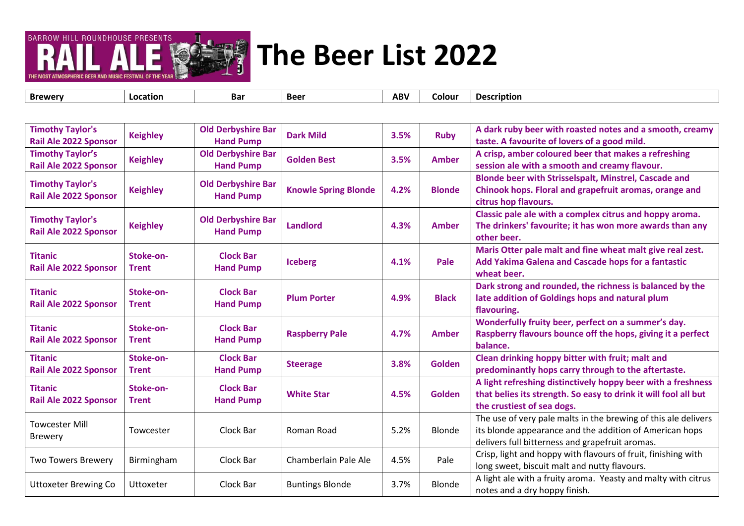



| <b>Timothy Taylor's</b><br>Rail Ale 2022 Sponsor | <b>Keighley</b>           | <b>Old Derbyshire Bar</b><br><b>Hand Pump</b> | <b>Dark Mild</b>            | 3.5% | <b>Ruby</b>   | A dark ruby beer with roasted notes and a smooth, creamy<br>taste. A favourite of lovers of a good mild.                                                                     |
|--------------------------------------------------|---------------------------|-----------------------------------------------|-----------------------------|------|---------------|------------------------------------------------------------------------------------------------------------------------------------------------------------------------------|
| <b>Timothy Taylor's</b><br>Rail Ale 2022 Sponsor | <b>Keighley</b>           | <b>Old Derbyshire Bar</b><br><b>Hand Pump</b> | <b>Golden Best</b>          | 3.5% | <b>Amber</b>  | A crisp, amber coloured beer that makes a refreshing<br>session ale with a smooth and creamy flavour.                                                                        |
| <b>Timothy Taylor's</b><br>Rail Ale 2022 Sponsor | <b>Keighley</b>           | <b>Old Derbyshire Bar</b><br><b>Hand Pump</b> | <b>Knowle Spring Blonde</b> | 4.2% | <b>Blonde</b> | Blonde beer with Strisselspalt, Minstrel, Cascade and<br>Chinook hops. Floral and grapefruit aromas, orange and<br>citrus hop flavours.                                      |
| <b>Timothy Taylor's</b><br>Rail Ale 2022 Sponsor | <b>Keighley</b>           | <b>Old Derbyshire Bar</b><br><b>Hand Pump</b> | <b>Landlord</b>             | 4.3% | <b>Amber</b>  | Classic pale ale with a complex citrus and hoppy aroma.<br>The drinkers' favourite; it has won more awards than any<br>other beer.                                           |
| <b>Titanic</b><br>Rail Ale 2022 Sponsor          | Stoke-on-<br><b>Trent</b> | <b>Clock Bar</b><br><b>Hand Pump</b>          | <b>Iceberg</b>              | 4.1% | Pale          | Maris Otter pale malt and fine wheat malt give real zest.<br>Add Yakima Galena and Cascade hops for a fantastic<br>wheat beer.                                               |
| <b>Titanic</b><br>Rail Ale 2022 Sponsor          | Stoke-on-<br><b>Trent</b> | <b>Clock Bar</b><br><b>Hand Pump</b>          | <b>Plum Porter</b>          | 4.9% | <b>Black</b>  | Dark strong and rounded, the richness is balanced by the<br>late addition of Goldings hops and natural plum<br>flavouring.                                                   |
| <b>Titanic</b><br>Rail Ale 2022 Sponsor          | Stoke-on-<br><b>Trent</b> | <b>Clock Bar</b><br><b>Hand Pump</b>          | <b>Raspberry Pale</b>       | 4.7% | <b>Amber</b>  | Wonderfully fruity beer, perfect on a summer's day.<br>Raspberry flavours bounce off the hops, giving it a perfect<br>balance.                                               |
| <b>Titanic</b><br><b>Rail Ale 2022 Sponsor</b>   | Stoke-on-<br><b>Trent</b> | <b>Clock Bar</b><br><b>Hand Pump</b>          | <b>Steerage</b>             | 3.8% | <b>Golden</b> | Clean drinking hoppy bitter with fruit; malt and<br>predominantly hops carry through to the aftertaste.                                                                      |
| <b>Titanic</b><br><b>Rail Ale 2022 Sponsor</b>   | Stoke-on-<br><b>Trent</b> | <b>Clock Bar</b><br><b>Hand Pump</b>          | <b>White Star</b>           | 4.5% | <b>Golden</b> | A light refreshing distinctively hoppy beer with a freshness<br>that belies its strength. So easy to drink it will fool all but<br>the crustiest of sea dogs.                |
| <b>Towcester Mill</b><br><b>Brewery</b>          | Towcester                 | Clock Bar                                     | Roman Road                  | 5.2% | Blonde        | The use of very pale malts in the brewing of this ale delivers<br>its blonde appearance and the addition of American hops<br>delivers full bitterness and grapefruit aromas. |
| <b>Two Towers Brewery</b>                        | Birmingham                | Clock Bar                                     | Chamberlain Pale Ale        | 4.5% | Pale          | Crisp, light and hoppy with flavours of fruit, finishing with<br>long sweet, biscuit malt and nutty flavours.                                                                |
| <b>Uttoxeter Brewing Co</b>                      | Uttoxeter                 | Clock Bar                                     | <b>Buntings Blonde</b>      | 3.7% | Blonde        | A light ale with a fruity aroma. Yeasty and malty with citrus<br>notes and a dry hoppy finish.                                                                               |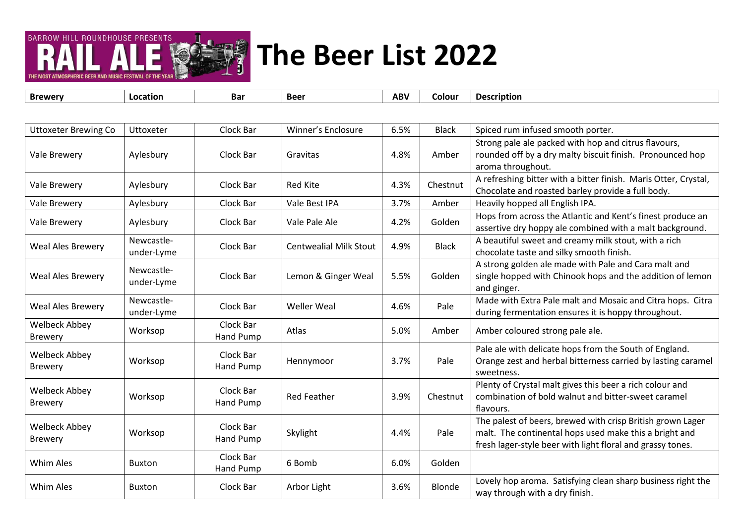

┬

т

| <b>Brewery</b>                         | Location                 | Bar                    | <b>Beer</b>                   | <b>ABV</b> | Colour       | <b>Description</b>                                                                                                                                                                 |
|----------------------------------------|--------------------------|------------------------|-------------------------------|------------|--------------|------------------------------------------------------------------------------------------------------------------------------------------------------------------------------------|
|                                        |                          |                        |                               |            |              |                                                                                                                                                                                    |
| <b>Uttoxeter Brewing Co</b>            | Uttoxeter                | Clock Bar              | Winner's Enclosure            | 6.5%       | <b>Black</b> | Spiced rum infused smooth porter.                                                                                                                                                  |
| <b>Vale Brewery</b>                    | Aylesbury                | Clock Bar              | Gravitas                      | 4.8%       | Amber        | Strong pale ale packed with hop and citrus flavours,<br>rounded off by a dry malty biscuit finish. Pronounced hop<br>aroma throughout.                                             |
| Vale Brewery                           | Aylesbury                | Clock Bar              | <b>Red Kite</b>               | 4.3%       | Chestnut     | A refreshing bitter with a bitter finish. Maris Otter, Crystal,<br>Chocolate and roasted barley provide a full body.                                                               |
| Vale Brewery                           | Aylesbury                | Clock Bar              | Vale Best IPA                 | 3.7%       | Amber        | Heavily hopped all English IPA.                                                                                                                                                    |
| Vale Brewery                           | Aylesbury                | Clock Bar              | Vale Pale Ale                 | 4.2%       | Golden       | Hops from across the Atlantic and Kent's finest produce an<br>assertive dry hoppy ale combined with a malt background.                                                             |
| Weal Ales Brewery                      | Newcastle-<br>under-Lyme | Clock Bar              | <b>Centwealial Milk Stout</b> | 4.9%       | <b>Black</b> | A beautiful sweet and creamy milk stout, with a rich<br>chocolate taste and silky smooth finish.                                                                                   |
| <b>Weal Ales Brewery</b>               | Newcastle-<br>under-Lyme | Clock Bar              | Lemon & Ginger Weal           | 5.5%       | Golden       | A strong golden ale made with Pale and Cara malt and<br>single hopped with Chinook hops and the addition of lemon<br>and ginger.                                                   |
| <b>Weal Ales Brewery</b>               | Newcastle-<br>under-Lyme | Clock Bar              | <b>Weller Weal</b>            | 4.6%       | Pale         | Made with Extra Pale malt and Mosaic and Citra hops. Citra<br>during fermentation ensures it is hoppy throughout.                                                                  |
| <b>Welbeck Abbey</b><br><b>Brewery</b> | Worksop                  | Clock Bar<br>Hand Pump | Atlas                         | 5.0%       | Amber        | Amber coloured strong pale ale.                                                                                                                                                    |
| <b>Welbeck Abbey</b><br><b>Brewery</b> | Worksop                  | Clock Bar<br>Hand Pump | Hennymoor                     | 3.7%       | Pale         | Pale ale with delicate hops from the South of England.<br>Orange zest and herbal bitterness carried by lasting caramel<br>sweetness.                                               |
| <b>Welbeck Abbey</b><br><b>Brewery</b> | Worksop                  | Clock Bar<br>Hand Pump | <b>Red Feather</b>            | 3.9%       | Chestnut     | Plenty of Crystal malt gives this beer a rich colour and<br>combination of bold walnut and bitter-sweet caramel<br>flavours.                                                       |
| <b>Welbeck Abbey</b><br><b>Brewery</b> | Worksop                  | Clock Bar<br>Hand Pump | Skylight                      | 4.4%       | Pale         | The palest of beers, brewed with crisp British grown Lager<br>malt. The continental hops used make this a bright and<br>fresh lager-style beer with light floral and grassy tones. |
| Whim Ales                              | <b>Buxton</b>            | Clock Bar<br>Hand Pump | 6 Bomb                        | 6.0%       | Golden       |                                                                                                                                                                                    |
| Whim Ales                              | <b>Buxton</b>            | Clock Bar              | Arbor Light                   | 3.6%       | Blonde       | Lovely hop aroma. Satisfying clean sharp business right the<br>way through with a dry finish.                                                                                      |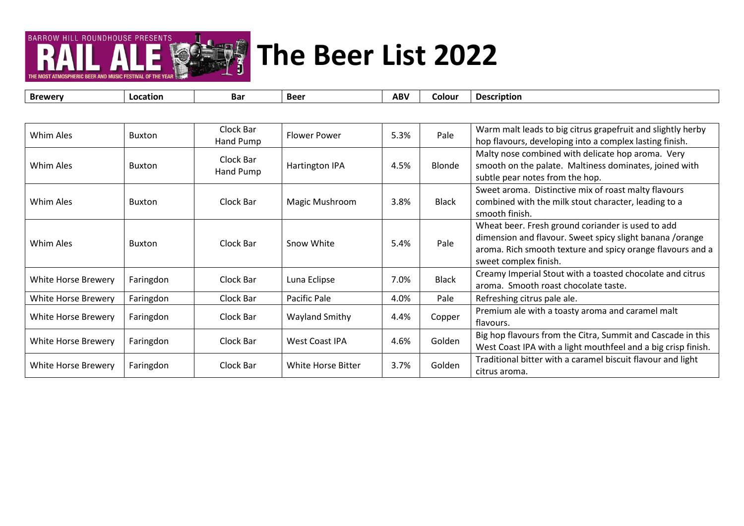

| Whim Ales           | <b>Buxton</b> | Clock Bar<br>Hand Pump | <b>Flower Power</b> | 5.3% | Pale         | Warm malt leads to big citrus grapefruit and slightly herby<br>hop flavours, developing into a complex lasting finish.                                                                               |
|---------------------|---------------|------------------------|---------------------|------|--------------|------------------------------------------------------------------------------------------------------------------------------------------------------------------------------------------------------|
| Whim Ales           | <b>Buxton</b> | Clock Bar<br>Hand Pump | Hartington IPA      | 4.5% | Blonde       | Malty nose combined with delicate hop aroma. Very<br>smooth on the palate. Maltiness dominates, joined with<br>subtle pear notes from the hop.                                                       |
| Whim Ales           | <b>Buxton</b> | Clock Bar              | Magic Mushroom      | 3.8% | <b>Black</b> | Sweet aroma. Distinctive mix of roast malty flavours<br>combined with the milk stout character, leading to a<br>smooth finish.                                                                       |
| Whim Ales           | <b>Buxton</b> | Clock Bar              | Snow White          | 5.4% | Pale         | Wheat beer. Fresh ground coriander is used to add<br>dimension and flavour. Sweet spicy slight banana /orange<br>aroma. Rich smooth texture and spicy orange flavours and a<br>sweet complex finish. |
| White Horse Brewery | Faringdon     | Clock Bar              | Luna Eclipse        | 7.0% | <b>Black</b> | Creamy Imperial Stout with a toasted chocolate and citrus<br>aroma. Smooth roast chocolate taste.                                                                                                    |
| White Horse Brewery | Faringdon     | Clock Bar              | Pacific Pale        | 4.0% | Pale         | Refreshing citrus pale ale.                                                                                                                                                                          |
| White Horse Brewery | Faringdon     | Clock Bar              | Wayland Smithy      | 4.4% | Copper       | Premium ale with a toasty aroma and caramel malt<br>flavours.                                                                                                                                        |
| White Horse Brewery | Faringdon     | Clock Bar              | West Coast IPA      | 4.6% | Golden       | Big hop flavours from the Citra, Summit and Cascade in this<br>West Coast IPA with a light mouthfeel and a big crisp finish.                                                                         |
| White Horse Brewery | Faringdon     | Clock Bar              | White Horse Bitter  | 3.7% | Golden       | Traditional bitter with a caramel biscuit flavour and light<br>citrus aroma.                                                                                                                         |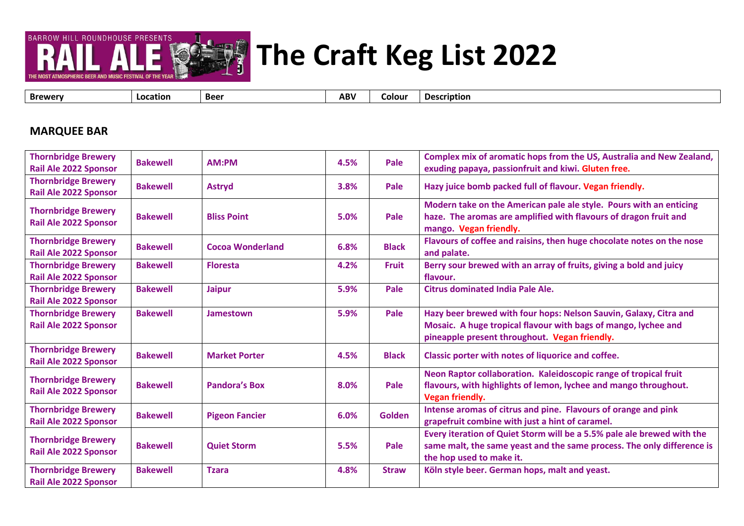

**The Craft Keg List 2022**

**Brewery Location Beer ABV Colour Description**

#### **MARQUEE BAR**

| <b>Thornbridge Brewery</b><br><b>Rail Ale 2022 Sponsor</b> | <b>Bakewell</b> | AM:PM                   | 4.5% | Pale          | Complex mix of aromatic hops from the US, Australia and New Zealand,<br>exuding papaya, passionfruit and kiwi. Gluten free.                                                          |
|------------------------------------------------------------|-----------------|-------------------------|------|---------------|--------------------------------------------------------------------------------------------------------------------------------------------------------------------------------------|
| <b>Thornbridge Brewery</b><br><b>Rail Ale 2022 Sponsor</b> | <b>Bakewell</b> | <b>Astryd</b>           | 3.8% | Pale          | Hazy juice bomb packed full of flavour. Vegan friendly.                                                                                                                              |
| <b>Thornbridge Brewery</b><br><b>Rail Ale 2022 Sponsor</b> | <b>Bakewell</b> | <b>Bliss Point</b>      | 5.0% | Pale          | Modern take on the American pale ale style. Pours with an enticing<br>haze. The aromas are amplified with flavours of dragon fruit and<br>mango. Vegan friendly.                     |
| <b>Thornbridge Brewery</b><br><b>Rail Ale 2022 Sponsor</b> | <b>Bakewell</b> | <b>Cocoa Wonderland</b> | 6.8% | <b>Black</b>  | Flavours of coffee and raisins, then huge chocolate notes on the nose<br>and palate.                                                                                                 |
| <b>Thornbridge Brewery</b><br><b>Rail Ale 2022 Sponsor</b> | <b>Bakewell</b> | <b>Floresta</b>         | 4.2% | <b>Fruit</b>  | Berry sour brewed with an array of fruits, giving a bold and juicy<br>flavour.                                                                                                       |
| <b>Thornbridge Brewery</b><br><b>Rail Ale 2022 Sponsor</b> | <b>Bakewell</b> | <b>Jaipur</b>           | 5.9% | Pale          | <b>Citrus dominated India Pale Ale.</b>                                                                                                                                              |
| <b>Thornbridge Brewery</b><br><b>Rail Ale 2022 Sponsor</b> | <b>Bakewell</b> | <b>Jamestown</b>        | 5.9% | Pale          | Hazy beer brewed with four hops: Nelson Sauvin, Galaxy, Citra and<br>Mosaic. A huge tropical flavour with bags of mango, lychee and<br>pineapple present throughout. Vegan friendly. |
| <b>Thornbridge Brewery</b><br><b>Rail Ale 2022 Sponsor</b> | <b>Bakewell</b> | <b>Market Porter</b>    | 4.5% | <b>Black</b>  | Classic porter with notes of liquorice and coffee.                                                                                                                                   |
| <b>Thornbridge Brewery</b><br><b>Rail Ale 2022 Sponsor</b> | <b>Bakewell</b> | <b>Pandora's Box</b>    | 8.0% | Pale          | Neon Raptor collaboration. Kaleidoscopic range of tropical fruit<br>flavours, with highlights of lemon, lychee and mango throughout.<br>Vegan friendly.                              |
| <b>Thornbridge Brewery</b><br><b>Rail Ale 2022 Sponsor</b> | <b>Bakewell</b> | <b>Pigeon Fancier</b>   | 6.0% | <b>Golden</b> | Intense aromas of citrus and pine. Flavours of orange and pink<br>grapefruit combine with just a hint of caramel.                                                                    |
| <b>Thornbridge Brewery</b><br><b>Rail Ale 2022 Sponsor</b> | <b>Bakewell</b> | <b>Quiet Storm</b>      | 5.5% | Pale          | Every iteration of Quiet Storm will be a 5.5% pale ale brewed with the<br>same malt, the same yeast and the same process. The only difference is<br>the hop used to make it.         |
| <b>Thornbridge Brewery</b><br>Rail Ale 2022 Sponsor        | <b>Bakewell</b> | <b>Tzara</b>            | 4.8% | <b>Straw</b>  | Köln style beer. German hops, malt and yeast.                                                                                                                                        |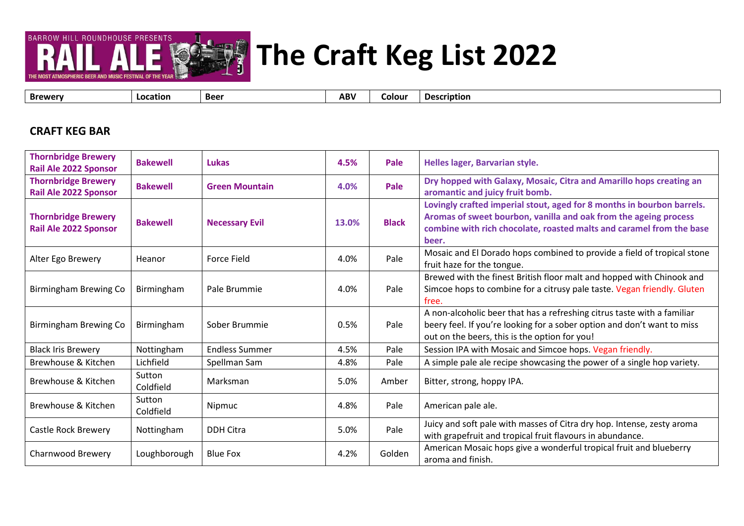

**The Craft Keg List 2022**

**Brewery Location Beer ABV Colour Description**

#### **CRAFT KEG BAR**

| <b>Thornbridge Brewery</b><br><b>Rail Ale 2022 Sponsor</b> | <b>Bakewell</b>     | Lukas                 | 4.5%  | Pale         | Helles lager, Barvarian style.                                                                                                                                                                                              |
|------------------------------------------------------------|---------------------|-----------------------|-------|--------------|-----------------------------------------------------------------------------------------------------------------------------------------------------------------------------------------------------------------------------|
| <b>Thornbridge Brewery</b><br><b>Rail Ale 2022 Sponsor</b> | <b>Bakewell</b>     | <b>Green Mountain</b> | 4.0%  | Pale         | Dry hopped with Galaxy, Mosaic, Citra and Amarillo hops creating an<br>aromantic and juicy fruit bomb.                                                                                                                      |
| <b>Thornbridge Brewery</b><br><b>Rail Ale 2022 Sponsor</b> | <b>Bakewell</b>     | <b>Necessary Evil</b> | 13.0% | <b>Black</b> | Lovingly crafted imperial stout, aged for 8 months in bourbon barrels.<br>Aromas of sweet bourbon, vanilla and oak from the ageing process<br>combine with rich chocolate, roasted malts and caramel from the base<br>beer. |
| Alter Ego Brewery                                          | Heanor              | <b>Force Field</b>    | 4.0%  | Pale         | Mosaic and El Dorado hops combined to provide a field of tropical stone<br>fruit haze for the tongue.                                                                                                                       |
| Birmingham Brewing Co                                      | Birmingham          | Pale Brummie          | 4.0%  | Pale         | Brewed with the finest British floor malt and hopped with Chinook and<br>Simcoe hops to combine for a citrusy pale taste. Vegan friendly. Gluten<br>free.                                                                   |
| Birmingham Brewing Co                                      | Birmingham          | Sober Brummie         | 0.5%  | Pale         | A non-alcoholic beer that has a refreshing citrus taste with a familiar<br>beery feel. If you're looking for a sober option and don't want to miss<br>out on the beers, this is the option for you!                         |
| <b>Black Iris Brewery</b>                                  | Nottingham          | <b>Endless Summer</b> | 4.5%  | Pale         | Session IPA with Mosaic and Simcoe hops. Vegan friendly.                                                                                                                                                                    |
| Brewhouse & Kitchen                                        | Lichfield           | Spellman Sam          | 4.8%  | Pale         | A simple pale ale recipe showcasing the power of a single hop variety.                                                                                                                                                      |
| Brewhouse & Kitchen                                        | Sutton<br>Coldfield | Marksman              | 5.0%  | Amber        | Bitter, strong, hoppy IPA.                                                                                                                                                                                                  |
| Brewhouse & Kitchen                                        | Sutton<br>Coldfield | Nipmuc                | 4.8%  | Pale         | American pale ale.                                                                                                                                                                                                          |
| Castle Rock Brewery                                        | Nottingham          | <b>DDH Citra</b>      | 5.0%  | Pale         | Juicy and soft pale with masses of Citra dry hop. Intense, zesty aroma<br>with grapefruit and tropical fruit flavours in abundance.                                                                                         |
| <b>Charnwood Brewery</b>                                   | Loughborough        | <b>Blue Fox</b>       | 4.2%  | Golden       | American Mosaic hops give a wonderful tropical fruit and blueberry<br>aroma and finish.                                                                                                                                     |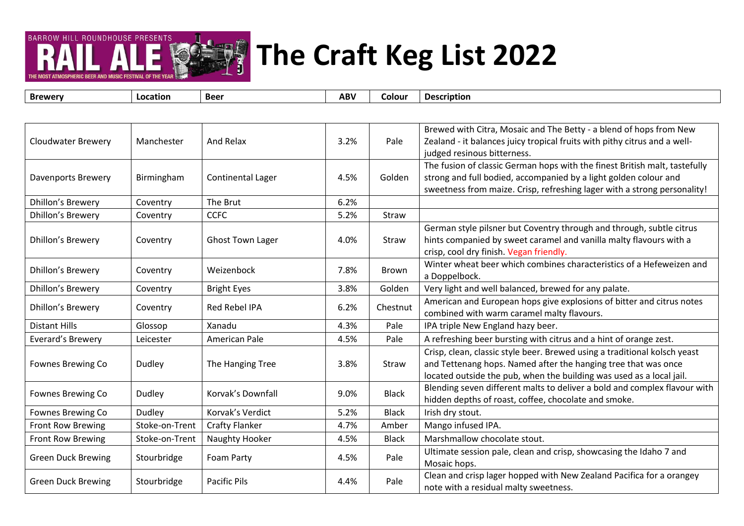#### **The Second Second The Craft Keg List 2022**

isd ty

᠇

**BARROW HILL ROUNDHOUSE PRESENTS** 

| <b>Brewery</b>            | Location       | <b>Beer</b>              | <b>ABV</b> | Colour       | <b>Description</b>                                                                                                                                                                                                         |
|---------------------------|----------------|--------------------------|------------|--------------|----------------------------------------------------------------------------------------------------------------------------------------------------------------------------------------------------------------------------|
|                           |                |                          |            |              |                                                                                                                                                                                                                            |
| <b>Cloudwater Brewery</b> | Manchester     | And Relax                | 3.2%       | Pale         | Brewed with Citra, Mosaic and The Betty - a blend of hops from New<br>Zealand - it balances juicy tropical fruits with pithy citrus and a well-<br>judged resinous bitterness.                                             |
| Davenports Brewery        | Birmingham     | <b>Continental Lager</b> | 4.5%       | Golden       | The fusion of classic German hops with the finest British malt, tastefully<br>strong and full bodied, accompanied by a light golden colour and<br>sweetness from maize. Crisp, refreshing lager with a strong personality! |
| <b>Dhillon's Brewery</b>  | Coventry       | The Brut                 | 6.2%       |              |                                                                                                                                                                                                                            |
| Dhillon's Brewery         | Coventry       | <b>CCFC</b>              | 5.2%       | Straw        |                                                                                                                                                                                                                            |
| <b>Dhillon's Brewery</b>  | Coventry       | <b>Ghost Town Lager</b>  | 4.0%       | Straw        | German style pilsner but Coventry through and through, subtle citrus<br>hints companied by sweet caramel and vanilla malty flavours with a<br>crisp, cool dry finish. Vegan friendly.                                      |
| <b>Dhillon's Brewery</b>  | Coventry       | Weizenbock               | 7.8%       | <b>Brown</b> | Winter wheat beer which combines characteristics of a Hefeweizen and<br>a Doppelbock.                                                                                                                                      |
| <b>Dhillon's Brewery</b>  | Coventry       | <b>Bright Eyes</b>       | 3.8%       | Golden       | Very light and well balanced, brewed for any palate.                                                                                                                                                                       |
| <b>Dhillon's Brewery</b>  | Coventry       | Red Rebel IPA            | 6.2%       | Chestnut     | American and European hops give explosions of bitter and citrus notes<br>combined with warm caramel malty flavours.                                                                                                        |
| <b>Distant Hills</b>      | Glossop        | Xanadu                   | 4.3%       | Pale         | IPA triple New England hazy beer.                                                                                                                                                                                          |
| Everard's Brewery         | Leicester      | American Pale            | 4.5%       | Pale         | A refreshing beer bursting with citrus and a hint of orange zest.                                                                                                                                                          |
| Fownes Brewing Co         | Dudley         | The Hanging Tree         | 3.8%       | Straw        | Crisp, clean, classic style beer. Brewed using a traditional kolsch yeast<br>and Tettenang hops. Named after the hanging tree that was once<br>located outside the pub, when the building was used as a local jail.        |
| Fownes Brewing Co         | Dudley         | Korvak's Downfall        | 9.0%       | <b>Black</b> | Blending seven different malts to deliver a bold and complex flavour with<br>hidden depths of roast, coffee, chocolate and smoke.                                                                                          |
| Fownes Brewing Co         | <b>Dudley</b>  | Korvak's Verdict         | 5.2%       | <b>Black</b> | Irish dry stout.                                                                                                                                                                                                           |
| <b>Front Row Brewing</b>  | Stoke-on-Trent | <b>Crafty Flanker</b>    | 4.7%       | Amber        | Mango infused IPA.                                                                                                                                                                                                         |
| Front Row Brewing         | Stoke-on-Trent | Naughty Hooker           | 4.5%       | <b>Black</b> | Marshmallow chocolate stout.                                                                                                                                                                                               |
| <b>Green Duck Brewing</b> | Stourbridge    | Foam Party               | 4.5%       | Pale         | Ultimate session pale, clean and crisp, showcasing the Idaho 7 and<br>Mosaic hops.                                                                                                                                         |
| <b>Green Duck Brewing</b> | Stourbridge    | <b>Pacific Pils</b>      | 4.4%       | Pale         | Clean and crisp lager hopped with New Zealand Pacifica for a orangey<br>note with a residual malty sweetness.                                                                                                              |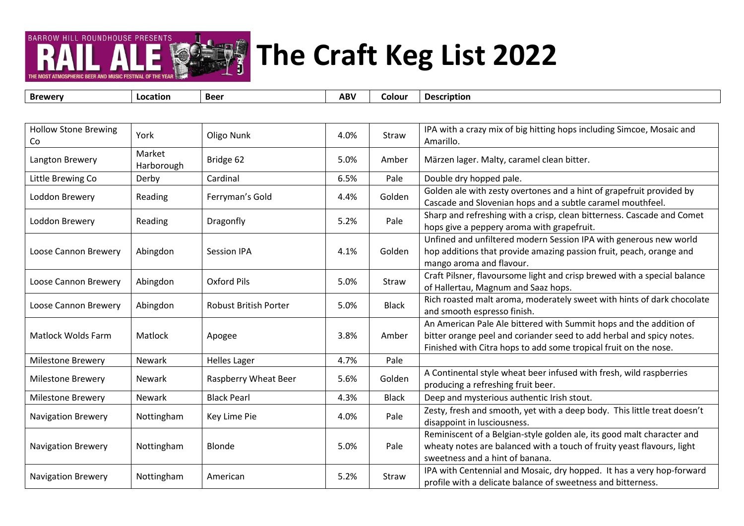#### **The Craft Keg List 2022 September 2019**

**BARROW HILL ROUNDHOUSE PRESENTS** 

| <b>Brewery</b>                    | Location             | <b>Beer</b>                  | <b>ABV</b> | Colour       | <b>Description</b>                                                                                                                                                                                             |
|-----------------------------------|----------------------|------------------------------|------------|--------------|----------------------------------------------------------------------------------------------------------------------------------------------------------------------------------------------------------------|
|                                   |                      |                              |            |              |                                                                                                                                                                                                                |
| <b>Hollow Stone Brewing</b><br>Co | York                 | Oligo Nunk                   | 4.0%       | Straw        | IPA with a crazy mix of big hitting hops including Simcoe, Mosaic and<br>Amarillo.                                                                                                                             |
| Langton Brewery                   | Market<br>Harborough | Bridge 62                    | 5.0%       | Amber        | Märzen lager. Malty, caramel clean bitter.                                                                                                                                                                     |
| Little Brewing Co                 | Derby                | Cardinal                     | 6.5%       | Pale         | Double dry hopped pale.                                                                                                                                                                                        |
| Loddon Brewery                    | Reading              | Ferryman's Gold              | 4.4%       | Golden       | Golden ale with zesty overtones and a hint of grapefruit provided by<br>Cascade and Slovenian hops and a subtle caramel mouthfeel.                                                                             |
| Loddon Brewery                    | Reading              | Dragonfly                    | 5.2%       | Pale         | Sharp and refreshing with a crisp, clean bitterness. Cascade and Comet<br>hops give a peppery aroma with grapefruit.                                                                                           |
| Loose Cannon Brewery              | Abingdon             | <b>Session IPA</b>           | 4.1%       | Golden       | Unfined and unfiltered modern Session IPA with generous new world<br>hop additions that provide amazing passion fruit, peach, orange and<br>mango aroma and flavour.                                           |
| Loose Cannon Brewery              | Abingdon             | Oxford Pils                  | 5.0%       | Straw        | Craft Pilsner, flavoursome light and crisp brewed with a special balance<br>of Hallertau, Magnum and Saaz hops.                                                                                                |
| Loose Cannon Brewery              | Abingdon             | <b>Robust British Porter</b> | 5.0%       | <b>Black</b> | Rich roasted malt aroma, moderately sweet with hints of dark chocolate<br>and smooth espresso finish.                                                                                                          |
| <b>Matlock Wolds Farm</b>         | Matlock              | Apogee                       | 3.8%       | Amber        | An American Pale Ale bittered with Summit hops and the addition of<br>bitter orange peel and coriander seed to add herbal and spicy notes.<br>Finished with Citra hops to add some tropical fruit on the nose. |
| <b>Milestone Brewery</b>          | Newark               | <b>Helles Lager</b>          | 4.7%       | Pale         |                                                                                                                                                                                                                |
| <b>Milestone Brewery</b>          | <b>Newark</b>        | Raspberry Wheat Beer         | 5.6%       | Golden       | A Continental style wheat beer infused with fresh, wild raspberries<br>producing a refreshing fruit beer.                                                                                                      |
| <b>Milestone Brewery</b>          | <b>Newark</b>        | <b>Black Pearl</b>           | 4.3%       | <b>Black</b> | Deep and mysterious authentic Irish stout.                                                                                                                                                                     |
| <b>Navigation Brewery</b>         | Nottingham           | Key Lime Pie                 | 4.0%       | Pale         | Zesty, fresh and smooth, yet with a deep body. This little treat doesn't<br>disappoint in lusciousness.                                                                                                        |
| <b>Navigation Brewery</b>         | Nottingham           | Blonde                       | 5.0%       | Pale         | Reminiscent of a Belgian-style golden ale, its good malt character and<br>wheaty notes are balanced with a touch of fruity yeast flavours, light<br>sweetness and a hint of banana.                            |
| <b>Navigation Brewery</b>         | Nottingham           | American                     | 5.2%       | Straw        | IPA with Centennial and Mosaic, dry hopped. It has a very hop-forward<br>profile with a delicate balance of sweetness and bitterness.                                                                          |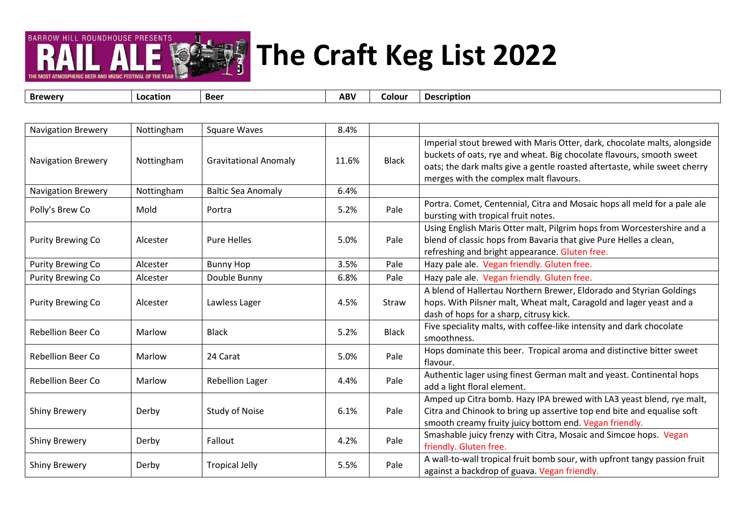#### **SET! The Craft Keg List 2022**

**BARROW HILL ROUNDHOUSE PRESENTS** 

| <b>Brewery</b>            | Location   | <b>Beer</b>                  | <b>ABV</b> | Colour       | <b>Description</b>                                                                                                                                                                                                                                                      |
|---------------------------|------------|------------------------------|------------|--------------|-------------------------------------------------------------------------------------------------------------------------------------------------------------------------------------------------------------------------------------------------------------------------|
|                           |            |                              |            |              |                                                                                                                                                                                                                                                                         |
| <b>Navigation Brewery</b> | Nottingham | <b>Square Waves</b>          | 8.4%       |              |                                                                                                                                                                                                                                                                         |
| <b>Navigation Brewery</b> | Nottingham | <b>Gravitational Anomaly</b> | 11.6%      | <b>Black</b> | Imperial stout brewed with Maris Otter, dark, chocolate malts, alongside<br>buckets of oats, rye and wheat. Big chocolate flavours, smooth sweet<br>oats; the dark malts give a gentle roasted aftertaste, while sweet cherry<br>merges with the complex malt flavours. |
| <b>Navigation Brewery</b> | Nottingham | <b>Baltic Sea Anomaly</b>    | 6.4%       |              |                                                                                                                                                                                                                                                                         |
| Polly's Brew Co           | Mold       | Portra                       | 5.2%       | Pale         | Portra. Comet, Centennial, Citra and Mosaic hops all meld for a pale ale<br>bursting with tropical fruit notes.                                                                                                                                                         |
| <b>Purity Brewing Co</b>  | Alcester   | Pure Helles                  | 5.0%       | Pale         | Using English Maris Otter malt, Pilgrim hops from Worcestershire and a<br>blend of classic hops from Bavaria that give Pure Helles a clean,<br>refreshing and bright appearance. Gluten free.                                                                           |
| <b>Purity Brewing Co</b>  | Alcester   | <b>Bunny Hop</b>             | 3.5%       | Pale         | Hazy pale ale. Vegan friendly. Gluten free.                                                                                                                                                                                                                             |
| <b>Purity Brewing Co</b>  | Alcester   | Double Bunny                 | 6.8%       | Pale         | Hazy pale ale. Vegan friendly. Gluten free.                                                                                                                                                                                                                             |
| <b>Purity Brewing Co</b>  | Alcester   | Lawless Lager                | 4.5%       | Straw        | A blend of Hallertau Northern Brewer, Eldorado and Styrian Goldings<br>hops. With Pilsner malt, Wheat malt, Caragold and lager yeast and a<br>dash of hops for a sharp, citrusy kick.                                                                                   |
| <b>Rebellion Beer Co</b>  | Marlow     | <b>Black</b>                 | 5.2%       | <b>Black</b> | Five speciality malts, with coffee-like intensity and dark chocolate<br>smoothness.                                                                                                                                                                                     |
| Rebellion Beer Co         | Marlow     | 24 Carat                     | 5.0%       | Pale         | Hops dominate this beer. Tropical aroma and distinctive bitter sweet<br>flavour.                                                                                                                                                                                        |
| Rebellion Beer Co         | Marlow     | <b>Rebellion Lager</b>       | 4.4%       | Pale         | Authentic lager using finest German malt and yeast. Continental hops<br>add a light floral element.                                                                                                                                                                     |
| <b>Shiny Brewery</b>      | Derby      | <b>Study of Noise</b>        | 6.1%       | Pale         | Amped up Citra bomb. Hazy IPA brewed with LA3 yeast blend, rye malt,<br>Citra and Chinook to bring up assertive top end bite and equalise soft<br>smooth creamy fruity juicy bottom end. Vegan friendly.                                                                |
| <b>Shiny Brewery</b>      | Derby      | Fallout                      | 4.2%       | Pale         | Smashable juicy frenzy with Citra, Mosaic and Simcoe hops. Vegan<br>friendly. Gluten free.                                                                                                                                                                              |
| <b>Shiny Brewery</b>      | Derby      | <b>Tropical Jelly</b>        | 5.5%       | Pale         | A wall-to-wall tropical fruit bomb sour, with upfront tangy passion fruit<br>against a backdrop of guava. Vegan friendly.                                                                                                                                               |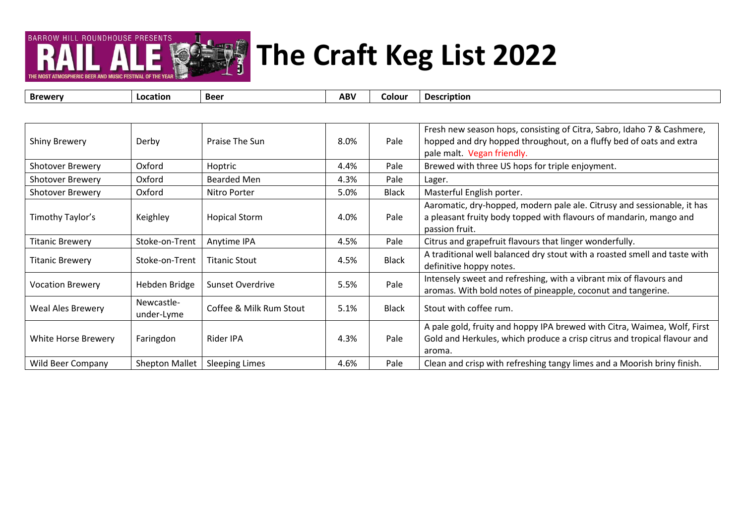# **The Craft Keg List 2022**

**BARROW HILL ROUNDHOUSE PRESENTS** 

**Brewery Location Beer ABV Colour Description** Shiny Brewery Perby Praise The Sun 8.0% Pale Fresh new season hops, consisting of Citra, Sabro, Idaho 7 & Cashmere, hopped and dry hopped throughout, on a fluffy bed of oats and extra pale malt. Vegan friendly. Shotover Brewery | Oxford | Hoptric | 4.4% | Pale Brewed with three US hops for triple enjoyment. Shotover Brewery  $\bigcup$  Oxford Bearded Men 14.3% Pale Lager. Shotover Brewery  $\bigcup_{n=1}^{\infty}$  Oxford Nitro Porter  $\bigcup_{n=1}^{\infty}$  5.0% Black Masterful English porter. Timothy Taylor's Keighley Hopical Storm 4.0% Pale Aaromatic, dry-hopped, modern pale ale. Citrusy and sessionable, it has a pleasant fruity body topped with flavours of mandarin, mango and passion fruit. Titanic Brewery Stoke-on-Trent | Anytime IPA | 4.5% Pale | Citrus and grapefruit flavours that linger wonderfully. Titanic Brewery Stoke-on-Trent Titanic Stout 1.5% Black A traditional well balanced dry stout with a roasted smell and taste with definitive hoppy notes. Vocation Brewery Hebden Bridge Sunset Overdrive 5.5% Pale Intensely sweet and refreshing, with a vibrant mix of flavours and aromas. With bold notes of pineapple, coconut and tangerine. Weal Ales Brewery Newcastle-Coffee & Milk Rum Stout | 5.1% | Black | Stout with coffee rum. White Horse Brewery | Faringdon | Rider IPA | 4.3% | Pale A pale gold, fruity and hoppy IPA brewed with Citra, Waimea, Wolf, First Gold and Herkules, which produce a crisp citrus and tropical flavour and aroma. Wild Beer Company Shepton Mallet Sleeping Limes  $\vert$  4.6%  $\vert$  Pale  $\vert$  Clean and crisp with refreshing tangy limes and a Moorish briny finish.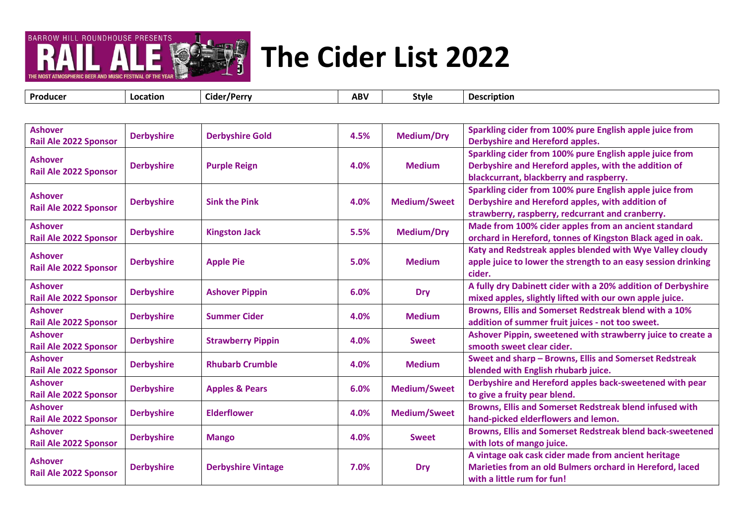

| Producer | $ -$<br>Location<br>*/Perry<br>cider | .<br>ABV | Style | ription<br>۱) م |
|----------|--------------------------------------|----------|-------|-----------------|
|----------|--------------------------------------|----------|-------|-----------------|

| <b>Ashover</b><br><b>Rail Ale 2022 Sponsor</b> | <b>Derbyshire</b> | <b>Derbyshire Gold</b>    | 4.5% | <b>Medium/Dry</b>   | Sparkling cider from 100% pure English apple juice from<br>Derbyshire and Hereford apples.                                                                      |
|------------------------------------------------|-------------------|---------------------------|------|---------------------|-----------------------------------------------------------------------------------------------------------------------------------------------------------------|
| <b>Ashover</b><br>Rail Ale 2022 Sponsor        | <b>Derbyshire</b> | <b>Purple Reign</b>       | 4.0% | <b>Medium</b>       | Sparkling cider from 100% pure English apple juice from<br>Derbyshire and Hereford apples, with the addition of<br>blackcurrant, blackberry and raspberry.      |
| <b>Ashover</b><br><b>Rail Ale 2022 Sponsor</b> | <b>Derbyshire</b> | <b>Sink the Pink</b>      | 4.0% | <b>Medium/Sweet</b> | Sparkling cider from 100% pure English apple juice from<br>Derbyshire and Hereford apples, with addition of<br>strawberry, raspberry, redcurrant and cranberry. |
| <b>Ashover</b><br><b>Rail Ale 2022 Sponsor</b> | <b>Derbyshire</b> | <b>Kingston Jack</b>      | 5.5% | <b>Medium/Dry</b>   | Made from 100% cider apples from an ancient standard<br>orchard in Hereford, tonnes of Kingston Black aged in oak.                                              |
| <b>Ashover</b><br>Rail Ale 2022 Sponsor        | <b>Derbyshire</b> | <b>Apple Pie</b>          | 5.0% | <b>Medium</b>       | Katy and Redstreak apples blended with Wye Valley cloudy<br>apple juice to lower the strength to an easy session drinking<br>cider.                             |
| <b>Ashover</b><br>Rail Ale 2022 Sponsor        | <b>Derbyshire</b> | <b>Ashover Pippin</b>     | 6.0% | <b>Dry</b>          | A fully dry Dabinett cider with a 20% addition of Derbyshire<br>mixed apples, slightly lifted with our own apple juice.                                         |
| <b>Ashover</b><br><b>Rail Ale 2022 Sponsor</b> | <b>Derbyshire</b> | <b>Summer Cider</b>       | 4.0% | <b>Medium</b>       | Browns, Ellis and Somerset Redstreak blend with a 10%<br>addition of summer fruit juices - not too sweet.                                                       |
| <b>Ashover</b><br>Rail Ale 2022 Sponsor        | <b>Derbyshire</b> | <b>Strawberry Pippin</b>  | 4.0% | <b>Sweet</b>        | Ashover Pippin, sweetened with strawberry juice to create a<br>smooth sweet clear cider.                                                                        |
| <b>Ashover</b><br><b>Rail Ale 2022 Sponsor</b> | <b>Derbyshire</b> | <b>Rhubarb Crumble</b>    | 4.0% | <b>Medium</b>       | Sweet and sharp - Browns, Ellis and Somerset Redstreak<br>blended with English rhubarb juice.                                                                   |
| <b>Ashover</b><br>Rail Ale 2022 Sponsor        | <b>Derbyshire</b> | <b>Apples &amp; Pears</b> | 6.0% | <b>Medium/Sweet</b> | Derbyshire and Hereford apples back-sweetened with pear<br>to give a fruity pear blend.                                                                         |
| <b>Ashover</b><br><b>Rail Ale 2022 Sponsor</b> | <b>Derbyshire</b> | <b>Elderflower</b>        | 4.0% | <b>Medium/Sweet</b> | Browns, Ellis and Somerset Redstreak blend infused with<br>hand-picked elderflowers and lemon.                                                                  |
| <b>Ashover</b><br>Rail Ale 2022 Sponsor        | <b>Derbyshire</b> | <b>Mango</b>              | 4.0% | <b>Sweet</b>        | Browns, Ellis and Somerset Redstreak blend back-sweetened<br>with lots of mango juice.                                                                          |
| <b>Ashover</b><br><b>Rail Ale 2022 Sponsor</b> | <b>Derbyshire</b> | <b>Derbyshire Vintage</b> | 7.0% | <b>Dry</b>          | A vintage oak cask cider made from ancient heritage<br>Marieties from an old Bulmers orchard in Hereford, laced<br>with a little rum for fun!                   |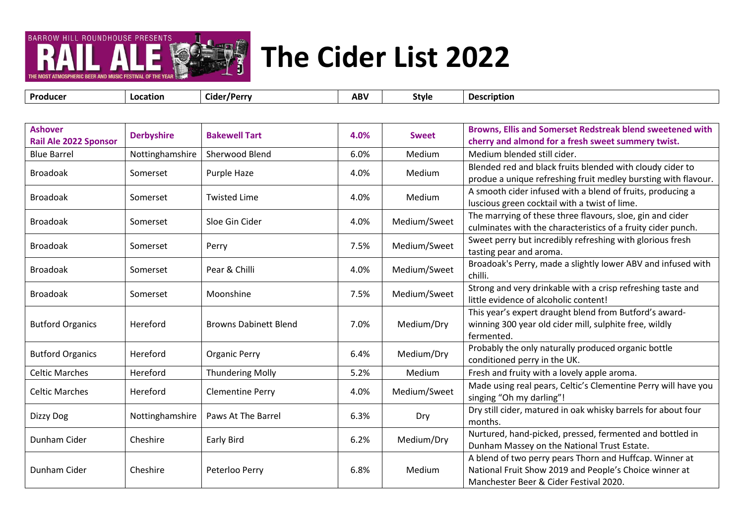

**Producer Location Cider/Perry ABV Style Description**

| <b>Ashover</b><br>Rail Ale 2022 Sponsor | <b>Derbyshire</b> | <b>Bakewell Tart</b>         | 4.0% | <b>Sweet</b>  | Browns, Ellis and Somerset Redstreak blend sweetened with<br>cherry and almond for a fresh sweet summery twist.                                             |
|-----------------------------------------|-------------------|------------------------------|------|---------------|-------------------------------------------------------------------------------------------------------------------------------------------------------------|
| <b>Blue Barrel</b>                      | Nottinghamshire   | Sherwood Blend               | 6.0% | Medium        | Medium blended still cider.                                                                                                                                 |
| <b>Broadoak</b>                         | Somerset          | Purple Haze                  | 4.0% | Medium        | Blended red and black fruits blended with cloudy cider to<br>produe a unique refreshing fruit medley bursting with flavour.                                 |
| <b>Broadoak</b>                         | Somerset          | <b>Twisted Lime</b>          | 4.0% | Medium        | A smooth cider infused with a blend of fruits, producing a<br>luscious green cocktail with a twist of lime.                                                 |
| <b>Broadoak</b>                         | Somerset          | Sloe Gin Cider               | 4.0% | Medium/Sweet  | The marrying of these three flavours, sloe, gin and cider<br>culminates with the characteristics of a fruity cider punch.                                   |
| <b>Broadoak</b>                         | Somerset          | Perry                        | 7.5% | Medium/Sweet  | Sweet perry but incredibly refreshing with glorious fresh<br>tasting pear and aroma.                                                                        |
| <b>Broadoak</b>                         | Somerset          | Pear & Chilli                | 4.0% | Medium/Sweet  | Broadoak's Perry, made a slightly lower ABV and infused with<br>chilli.                                                                                     |
| <b>Broadoak</b>                         | Somerset          | Moonshine                    | 7.5% | Medium/Sweet  | Strong and very drinkable with a crisp refreshing taste and<br>little evidence of alcoholic content!                                                        |
| <b>Butford Organics</b>                 | Hereford          | <b>Browns Dabinett Blend</b> | 7.0% | Medium/Dry    | This year's expert draught blend from Butford's award-<br>winning 300 year old cider mill, sulphite free, wildly<br>fermented.                              |
| <b>Butford Organics</b>                 | Hereford          | <b>Organic Perry</b>         | 6.4% | Medium/Dry    | Probably the only naturally produced organic bottle<br>conditioned perry in the UK.                                                                         |
| <b>Celtic Marches</b>                   | Hereford          | <b>Thundering Molly</b>      | 5.2% | <b>Medium</b> | Fresh and fruity with a lovely apple aroma.                                                                                                                 |
| <b>Celtic Marches</b>                   | Hereford          | <b>Clementine Perry</b>      | 4.0% | Medium/Sweet  | Made using real pears, Celtic's Clementine Perry will have you<br>singing "Oh my darling"!                                                                  |
| Dizzy Dog                               | Nottinghamshire   | Paws At The Barrel           | 6.3% | Dry           | Dry still cider, matured in oak whisky barrels for about four<br>months.                                                                                    |
| Dunham Cider                            | Cheshire          | <b>Early Bird</b>            | 6.2% | Medium/Dry    | Nurtured, hand-picked, pressed, fermented and bottled in<br>Dunham Massey on the National Trust Estate.                                                     |
| Dunham Cider                            | Cheshire          | Peterloo Perry               | 6.8% | Medium        | A blend of two perry pears Thorn and Huffcap. Winner at<br>National Fruit Show 2019 and People's Choice winner at<br>Manchester Beer & Cider Festival 2020. |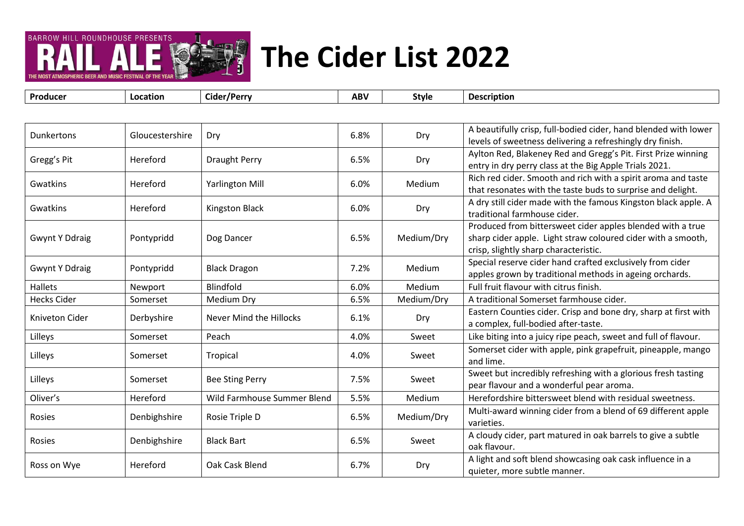

| Producer              | Location        | Cider/Perry                 | <b>ABV</b> | <b>Style</b> | <b>Description</b>                                                                                |
|-----------------------|-----------------|-----------------------------|------------|--------------|---------------------------------------------------------------------------------------------------|
|                       |                 |                             |            |              |                                                                                                   |
| <b>Dunkertons</b>     | Gloucestershire | Dry                         | 6.8%       |              | A beautifully crisp, full-bodied cider, hand blended with lower                                   |
|                       |                 |                             |            | Dry          | levels of sweetness delivering a refreshingly dry finish.                                         |
| Gregg's Pit           | Hereford        | <b>Draught Perry</b>        | 6.5%       | Dry          | Aylton Red, Blakeney Red and Gregg's Pit. First Prize winning                                     |
|                       |                 |                             |            |              | entry in dry perry class at the Big Apple Trials 2021.                                            |
| Gwatkins              | Hereford        | <b>Yarlington Mill</b>      | 6.0%       | Medium       | Rich red cider. Smooth and rich with a spirit aroma and taste                                     |
|                       |                 |                             |            |              | that resonates with the taste buds to surprise and delight.                                       |
| Gwatkins              | Hereford        | Kingston Black              | 6.0%       | Dry          | A dry still cider made with the famous Kingston black apple. A                                    |
|                       |                 |                             |            |              | traditional farmhouse cider.                                                                      |
|                       |                 |                             |            |              | Produced from bittersweet cider apples blended with a true                                        |
| <b>Gwynt Y Ddraig</b> | Pontypridd      | Dog Dancer                  | 6.5%       | Medium/Dry   | sharp cider apple. Light straw coloured cider with a smooth,                                      |
|                       |                 |                             |            |              | crisp, slightly sharp characteristic.                                                             |
| <b>Gwynt Y Ddraig</b> | Pontypridd      | <b>Black Dragon</b>         | 7.2%       | Medium       | Special reserve cider hand crafted exclusively from cider                                         |
|                       |                 | Blindfold                   |            |              | apples grown by traditional methods in ageing orchards.<br>Full fruit flavour with citrus finish. |
| <b>Hallets</b>        | Newport         |                             | 6.0%       | Medium       |                                                                                                   |
| <b>Hecks Cider</b>    | Somerset        | Medium Dry                  | 6.5%       | Medium/Dry   | A traditional Somerset farmhouse cider.                                                           |
| Kniveton Cider        | Derbyshire      | Never Mind the Hillocks     | 6.1%       | Dry          | Eastern Counties cider. Crisp and bone dry, sharp at first with                                   |
|                       |                 |                             |            |              | a complex, full-bodied after-taste.                                                               |
| Lilleys               | Somerset        | Peach                       | 4.0%       | Sweet        | Like biting into a juicy ripe peach, sweet and full of flavour.                                   |
| Lilleys               | Somerset        | Tropical                    | 4.0%       | Sweet        | Somerset cider with apple, pink grapefruit, pineapple, mango<br>and lime.                         |
| Lilleys               | Somerset        | <b>Bee Sting Perry</b>      | 7.5%       | Sweet        | Sweet but incredibly refreshing with a glorious fresh tasting                                     |
|                       |                 |                             |            |              | pear flavour and a wonderful pear aroma.                                                          |
| Oliver's              | Hereford        | Wild Farmhouse Summer Blend | 5.5%       | Medium       | Herefordshire bittersweet blend with residual sweetness.                                          |
| Rosies                | Denbighshire    | Rosie Triple D              | 6.5%       | Medium/Dry   | Multi-award winning cider from a blend of 69 different apple<br>varieties.                        |
| Rosies                | Denbighshire    | <b>Black Bart</b>           | 6.5%       | Sweet        | A cloudy cider, part matured in oak barrels to give a subtle                                      |
|                       |                 |                             |            |              | oak flavour.                                                                                      |
| Ross on Wye           | Hereford        | Oak Cask Blend              | 6.7%       | Dry          | A light and soft blend showcasing oak cask influence in a                                         |
|                       |                 |                             |            |              | quieter, more subtle manner.                                                                      |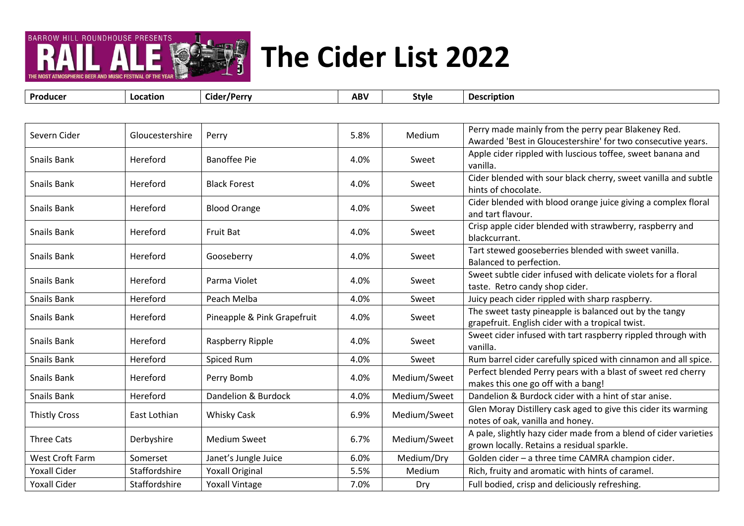

| Perry made mainly from the perry pear Blakeney Red.<br>5.8%<br>Severn Cider<br>Gloucestershire<br>Medium<br>Perry<br>Awarded 'Best in Gloucestershire' for two consecutive years.<br>Apple cider rippled with luscious toffee, sweet banana and<br><b>Banoffee Pie</b><br><b>Snails Bank</b><br>Hereford<br>4.0%<br>Sweet<br>vanilla.<br>Cider blended with sour black cherry, sweet vanilla and subtle<br>Snails Bank<br>Hereford<br><b>Black Forest</b><br>4.0%<br>Sweet<br>hints of chocolate.<br>Cider blended with blood orange juice giving a complex floral<br>Snails Bank<br><b>Blood Orange</b><br>4.0%<br>Hereford<br>Sweet<br>and tart flavour.<br>Crisp apple cider blended with strawberry, raspberry and<br><b>Snails Bank</b><br>Hereford<br>4.0%<br><b>Fruit Bat</b><br>Sweet<br>blackcurrant.<br>Tart stewed gooseberries blended with sweet vanilla.<br><b>Snails Bank</b><br>Hereford<br>Gooseberry<br>4.0%<br>Sweet<br>Balanced to perfection. |  |
|--------------------------------------------------------------------------------------------------------------------------------------------------------------------------------------------------------------------------------------------------------------------------------------------------------------------------------------------------------------------------------------------------------------------------------------------------------------------------------------------------------------------------------------------------------------------------------------------------------------------------------------------------------------------------------------------------------------------------------------------------------------------------------------------------------------------------------------------------------------------------------------------------------------------------------------------------------------------|--|
|                                                                                                                                                                                                                                                                                                                                                                                                                                                                                                                                                                                                                                                                                                                                                                                                                                                                                                                                                                    |  |
|                                                                                                                                                                                                                                                                                                                                                                                                                                                                                                                                                                                                                                                                                                                                                                                                                                                                                                                                                                    |  |
|                                                                                                                                                                                                                                                                                                                                                                                                                                                                                                                                                                                                                                                                                                                                                                                                                                                                                                                                                                    |  |
|                                                                                                                                                                                                                                                                                                                                                                                                                                                                                                                                                                                                                                                                                                                                                                                                                                                                                                                                                                    |  |
|                                                                                                                                                                                                                                                                                                                                                                                                                                                                                                                                                                                                                                                                                                                                                                                                                                                                                                                                                                    |  |
|                                                                                                                                                                                                                                                                                                                                                                                                                                                                                                                                                                                                                                                                                                                                                                                                                                                                                                                                                                    |  |
|                                                                                                                                                                                                                                                                                                                                                                                                                                                                                                                                                                                                                                                                                                                                                                                                                                                                                                                                                                    |  |
| Sweet subtle cider infused with delicate violets for a floral<br>Snails Bank<br>Hereford<br>Parma Violet<br>4.0%<br>Sweet<br>taste. Retro candy shop cider.                                                                                                                                                                                                                                                                                                                                                                                                                                                                                                                                                                                                                                                                                                                                                                                                        |  |
| Snails Bank<br>Hereford<br>Peach Melba<br>Juicy peach cider rippled with sharp raspberry.<br>4.0%<br>Sweet                                                                                                                                                                                                                                                                                                                                                                                                                                                                                                                                                                                                                                                                                                                                                                                                                                                         |  |
| The sweet tasty pineapple is balanced out by the tangy<br>Snails Bank<br>Pineapple & Pink Grapefruit<br>4.0%<br>Hereford<br>Sweet<br>grapefruit. English cider with a tropical twist.                                                                                                                                                                                                                                                                                                                                                                                                                                                                                                                                                                                                                                                                                                                                                                              |  |
| Sweet cider infused with tart raspberry rippled through with<br><b>Snails Bank</b><br>4.0%<br>Hereford<br>Raspberry Ripple<br>Sweet<br>vanilla.                                                                                                                                                                                                                                                                                                                                                                                                                                                                                                                                                                                                                                                                                                                                                                                                                    |  |
| Rum barrel cider carefully spiced with cinnamon and all spice.<br>Snails Bank<br>Hereford<br>Spiced Rum<br>4.0%<br>Sweet                                                                                                                                                                                                                                                                                                                                                                                                                                                                                                                                                                                                                                                                                                                                                                                                                                           |  |
| Perfect blended Perry pears with a blast of sweet red cherry<br><b>Snails Bank</b><br>Medium/Sweet<br>Hereford<br>Perry Bomb<br>4.0%<br>makes this one go off with a bang!                                                                                                                                                                                                                                                                                                                                                                                                                                                                                                                                                                                                                                                                                                                                                                                         |  |
| Dandelion & Burdock cider with a hint of star anise.<br>Dandelion & Burdock<br>Medium/Sweet<br>Snails Bank<br>Hereford<br>4.0%                                                                                                                                                                                                                                                                                                                                                                                                                                                                                                                                                                                                                                                                                                                                                                                                                                     |  |
| Glen Moray Distillery cask aged to give this cider its warming<br>Medium/Sweet<br><b>Thistly Cross</b><br>East Lothian<br><b>Whisky Cask</b><br>6.9%<br>notes of oak, vanilla and honey.                                                                                                                                                                                                                                                                                                                                                                                                                                                                                                                                                                                                                                                                                                                                                                           |  |
| A pale, slightly hazy cider made from a blend of cider varieties<br>Medium/Sweet<br><b>Three Cats</b><br>Derbyshire<br><b>Medium Sweet</b><br>6.7%<br>grown locally. Retains a residual sparkle.                                                                                                                                                                                                                                                                                                                                                                                                                                                                                                                                                                                                                                                                                                                                                                   |  |
| West Croft Farm<br>Golden cider - a three time CAMRA champion cider.<br>Somerset<br>Janet's Jungle Juice<br>6.0%<br>Medium/Dry                                                                                                                                                                                                                                                                                                                                                                                                                                                                                                                                                                                                                                                                                                                                                                                                                                     |  |
| <b>Yoxall Cider</b><br>Staffordshire<br><b>Yoxall Original</b><br>Rich, fruity and aromatic with hints of caramel.<br>5.5%<br>Medium                                                                                                                                                                                                                                                                                                                                                                                                                                                                                                                                                                                                                                                                                                                                                                                                                               |  |
| 7.0%<br><b>Yoxall Cider</b><br>Staffordshire<br><b>Yoxall Vintage</b><br>Full bodied, crisp and deliciously refreshing.<br>Dry                                                                                                                                                                                                                                                                                                                                                                                                                                                                                                                                                                                                                                                                                                                                                                                                                                     |  |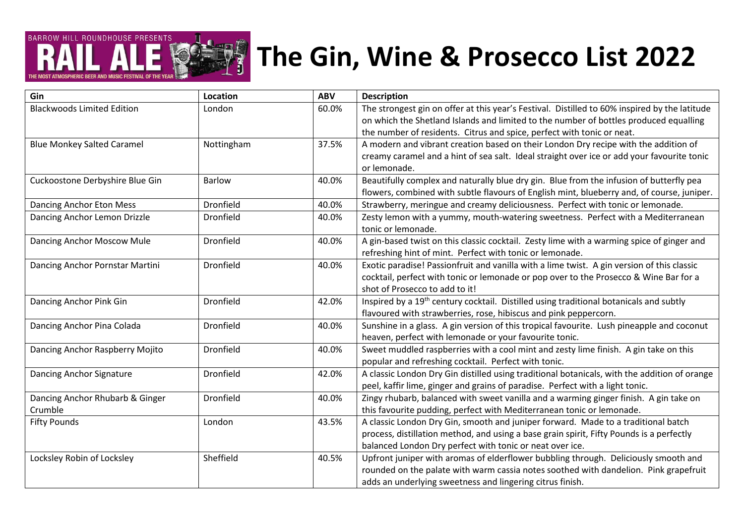# **BARROW HILL ROUNDHOUSE PRESENTS**

### **The Gin, Wine & Prosecco List 2022**

**Gin Location ABV Description** Blackwoods Limited Edition | London | Condon | 60.0% | The strongest gin on offer at this year's Festival. Distilled to 60% inspired by the latitude on which the Shetland Islands and limited to the number of bottles produced equalling the number of residents. Citrus and spice, perfect with tonic or neat. Blue Monkey Salted Caramel **Nottingham** 137.5% A modern and vibrant creation based on their London Dry recipe with the addition of creamy caramel and a hint of sea salt. Ideal straight over ice or add your favourite tonic or lemonade. Cuckoostone Derbyshire Blue Gin Barlow 40.0% Beautifully complex and naturally blue dry gin. Blue from the infusion of butterfly pea flowers, combined with subtle flavours of English mint, blueberry and, of course, juniper. Dancing Anchor Eton Mess **Dronfield** Dronfield 19.0% Strawberry, meringue and creamy deliciousness. Perfect with tonic or lemonade. Dancing Anchor Lemon Drizzle **Dronfield** Dronfield 10.0% <br>Questy lemon with a yummy, mouth-watering sweetness. Perfect with a Mediterranean tonic or lemonade. Dancing Anchor Moscow Mule **Dronfield** Dronfield 10.0% A gin-based twist on this classic cocktail. Zesty lime with a warming spice of ginger and refreshing hint of mint. Perfect with tonic or lemonade. Dancing Anchor Pornstar Martini Dronfield 40.0% Exotic paradise! Passionfruit and vanilla with a lime twist. A gin version of this classic cocktail, perfect with tonic or lemonade or pop over to the Prosecco & Wine Bar for a shot of Prosecco to add to it! Dancing Anchor Pink Gin **Dronfield** Dronfield 142.0% | Inspired by a 19<sup>th</sup> century cocktail. Distilled using traditional botanicals and subtly flavoured with strawberries, rose, hibiscus and pink peppercorn. Dancing Anchor Pina Colada Dronfield 40.0% Sunshine in a glass. A gin version of this tropical favourite. Lush pineapple and coconut heaven, perfect with lemonade or your favourite tonic. Dancing Anchor Raspberry Mojito **Dronfield** Dronfield **Note that Accole 200%** Sweet muddled raspberries with a cool mint and zesty lime finish. A gin take on this popular and refreshing cocktail. Perfect with tonic. Dancing Anchor Signature | Dronfield | 42.0% | A classic London Dry Gin distilled using traditional botanicals, with the addition of orange peel, kaffir lime, ginger and grains of paradise. Perfect with a light tonic. Dancing Anchor Rhubarb & Ginger Crumble Dronfield 10.0% | Zingy rhubarb, balanced with sweet vanilla and a warming ginger finish. A gin take on this favourite pudding, perfect with Mediterranean tonic or lemonade. Fifty Pounds **London** London **London** 143.5% A classic London Dry Gin, smooth and juniper forward. Made to a traditional batch process, distillation method, and using a base grain spirit, Fifty Pounds is a perfectly balanced London Dry perfect with tonic or neat over ice. Locksley Robin of Locksley Sheffield Sheffield 1995% | Upfront juniper with aromas of elderflower bubbling through. Deliciously smooth and rounded on the palate with warm cassia notes soothed with dandelion. Pink grapefruit adds an underlying sweetness and lingering citrus finish.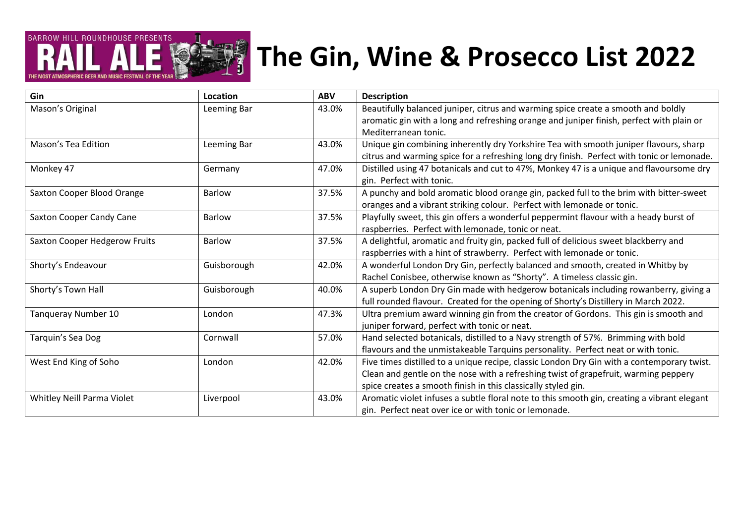

#### **The Gin, Wine & Prosecco List 2022**

| Gin                           | Location      | <b>ABV</b> | <b>Description</b>                                                                          |
|-------------------------------|---------------|------------|---------------------------------------------------------------------------------------------|
| Mason's Original              | Leeming Bar   | 43.0%      | Beautifully balanced juniper, citrus and warming spice create a smooth and boldly           |
|                               |               |            | aromatic gin with a long and refreshing orange and juniper finish, perfect with plain or    |
|                               |               |            | Mediterranean tonic.                                                                        |
| Mason's Tea Edition           | Leeming Bar   | 43.0%      | Unique gin combining inherently dry Yorkshire Tea with smooth juniper flavours, sharp       |
|                               |               |            | citrus and warming spice for a refreshing long dry finish. Perfect with tonic or lemonade.  |
| Monkey 47                     | Germany       | 47.0%      | Distilled using 47 botanicals and cut to 47%, Monkey 47 is a unique and flavoursome dry     |
|                               |               |            | gin. Perfect with tonic.                                                                    |
| Saxton Cooper Blood Orange    | <b>Barlow</b> | 37.5%      | A punchy and bold aromatic blood orange gin, packed full to the brim with bitter-sweet      |
|                               |               |            | oranges and a vibrant striking colour. Perfect with lemonade or tonic.                      |
| Saxton Cooper Candy Cane      | <b>Barlow</b> | 37.5%      | Playfully sweet, this gin offers a wonderful peppermint flavour with a heady burst of       |
|                               |               |            | raspberries. Perfect with lemonade, tonic or neat.                                          |
| Saxton Cooper Hedgerow Fruits | <b>Barlow</b> | 37.5%      | A delightful, aromatic and fruity gin, packed full of delicious sweet blackberry and        |
|                               |               |            | raspberries with a hint of strawberry. Perfect with lemonade or tonic.                      |
| Shorty's Endeavour            | Guisborough   | 42.0%      | A wonderful London Dry Gin, perfectly balanced and smooth, created in Whitby by             |
|                               |               |            | Rachel Conisbee, otherwise known as "Shorty". A timeless classic gin.                       |
| Shorty's Town Hall            | Guisborough   | 40.0%      | A superb London Dry Gin made with hedgerow botanicals including rowanberry, giving a        |
|                               |               |            | full rounded flavour. Created for the opening of Shorty's Distillery in March 2022.         |
| Tanqueray Number 10           | London        | 47.3%      | Ultra premium award winning gin from the creator of Gordons. This gin is smooth and         |
|                               |               |            | juniper forward, perfect with tonic or neat.                                                |
| Tarquin's Sea Dog             | Cornwall      | 57.0%      | Hand selected botanicals, distilled to a Navy strength of 57%. Brimming with bold           |
|                               |               |            | flavours and the unmistakeable Tarquins personality. Perfect neat or with tonic.            |
| West End King of Soho         | London        | 42.0%      | Five times distilled to a unique recipe, classic London Dry Gin with a contemporary twist.  |
|                               |               |            | Clean and gentle on the nose with a refreshing twist of grapefruit, warming peppery         |
|                               |               |            | spice creates a smooth finish in this classically styled gin.                               |
| Whitley Neill Parma Violet    | Liverpool     | 43.0%      | Aromatic violet infuses a subtle floral note to this smooth gin, creating a vibrant elegant |
|                               |               |            | gin. Perfect neat over ice or with tonic or lemonade.                                       |